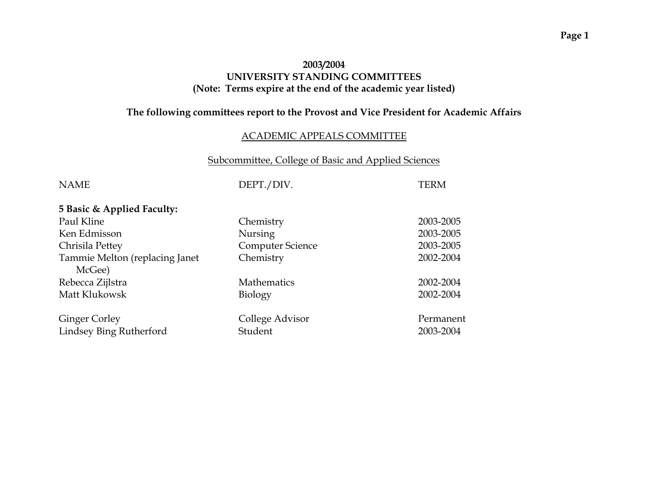# **2003/2004 UNIVERSITY STANDING COMMITTEES (Note: Terms expire at the end of the academic year listed)**

# **The following committees report to the Provost and Vice President for Academic Affairs**

# ACADEMIC APPEALS COMMITTEE

# Subcommittee, College of Basic and Applied Sciences

| <b>NAME</b>                              | DEPT./DIV.              | TERM      |
|------------------------------------------|-------------------------|-----------|
| 5 Basic & Applied Faculty:               |                         |           |
| Paul Kline                               | Chemistry               | 2003-2005 |
| Ken Edmisson                             | <b>Nursing</b>          | 2003-2005 |
| Chrisila Pettey                          | <b>Computer Science</b> | 2003-2005 |
| Tammie Melton (replacing Janet<br>McGee) | Chemistry               | 2002-2004 |
| Rebecca Zijlstra                         | <b>Mathematics</b>      | 2002-2004 |
| Matt Klukowsk                            | Biology                 | 2002-2004 |
| <b>Ginger Corley</b>                     | College Advisor         | Permanent |
| Lindsey Bing Rutherford                  | Student                 | 2003-2004 |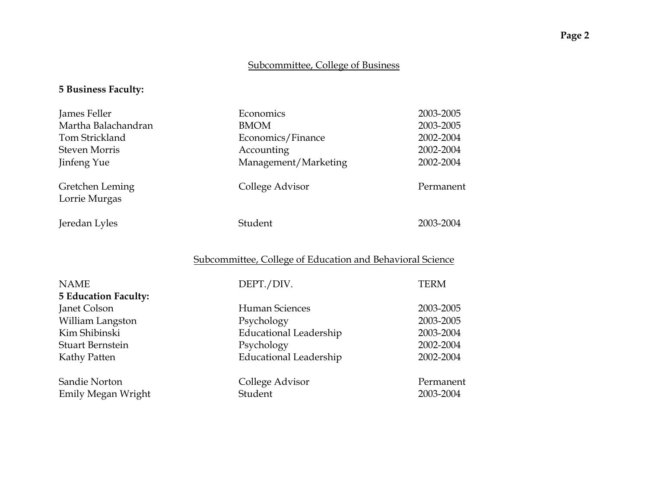# Subcommittee, College of Business

# **5 Business Faculty:**

| James Feller                     | Economics            | 2003-2005 |
|----------------------------------|----------------------|-----------|
| Martha Balachandran              | <b>BMOM</b>          | 2003-2005 |
| Tom Strickland                   | Economics/Finance    | 2002-2004 |
| <b>Steven Morris</b>             | Accounting           | 2002-2004 |
| Jinfeng Yue                      | Management/Marketing | 2002-2004 |
| Gretchen Leming<br>Lorrie Murgas | College Advisor      | Permanent |
| Jeredan Lyles                    | Student              | 2003-2004 |

# Subcommittee, College of Education and Behavioral Science

| <b>NAME</b><br><b>5 Education Faculty:</b> | DEPT./DIV.                    | TERM                   |
|--------------------------------------------|-------------------------------|------------------------|
| Janet Colson                               | <b>Human Sciences</b>         | 2003-2005              |
| William Langston                           | Psychology                    | 2003-2005              |
| Kim Shibinski                              | <b>Educational Leadership</b> | 2003-2004              |
| <b>Stuart Bernstein</b>                    | Psychology                    | 2002-2004              |
| Kathy Patten                               | <b>Educational Leadership</b> | 2002-2004              |
| Sandie Norton<br>Emily Megan Wright        | College Advisor<br>Student    | Permanent<br>2003-2004 |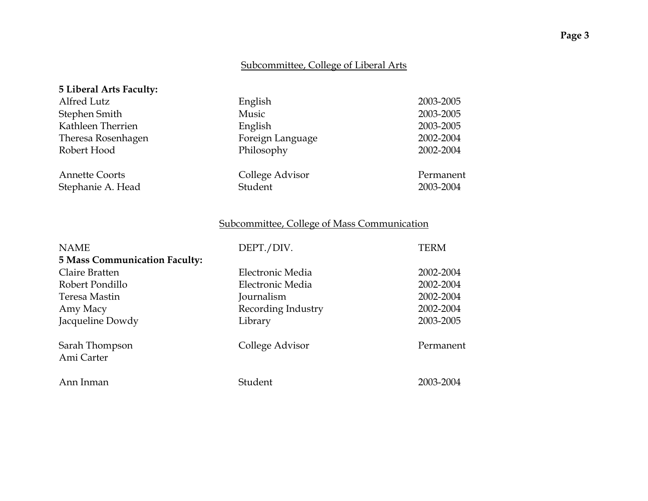# Subcommittee, College of Liberal Arts

| 5 Liberal Arts Faculty:                    |                            |                        |
|--------------------------------------------|----------------------------|------------------------|
| Alfred Lutz                                | English                    | 2003-2005              |
| Stephen Smith                              | Music                      | 2003-2005              |
| Kathleen Therrien                          | English                    | 2003-2005              |
| Theresa Rosenhagen                         | Foreign Language           | 2002-2004              |
| Robert Hood                                | Philosophy                 | 2002-2004              |
| <b>Annette Coorts</b><br>Stephanie A. Head | College Advisor<br>Student | Permanent<br>2003-2004 |

# Subcommittee, College of Mass Communication

| <b>NAME</b>                          | DEPT./DIV.         | <b>TERM</b> |
|--------------------------------------|--------------------|-------------|
| <b>5 Mass Communication Faculty:</b> |                    |             |
| Claire Bratten                       | Electronic Media   | 2002-2004   |
| Robert Pondillo                      | Electronic Media   | 2002-2004   |
| Teresa Mastin                        | Journalism         | 2002-2004   |
| Amy Macy                             | Recording Industry | 2002-2004   |
| Jacqueline Dowdy                     | Library            | 2003-2005   |
| Sarah Thompson<br>Ami Carter         | College Advisor    | Permanent   |
| Ann Inman                            | Student            | 2003-2004   |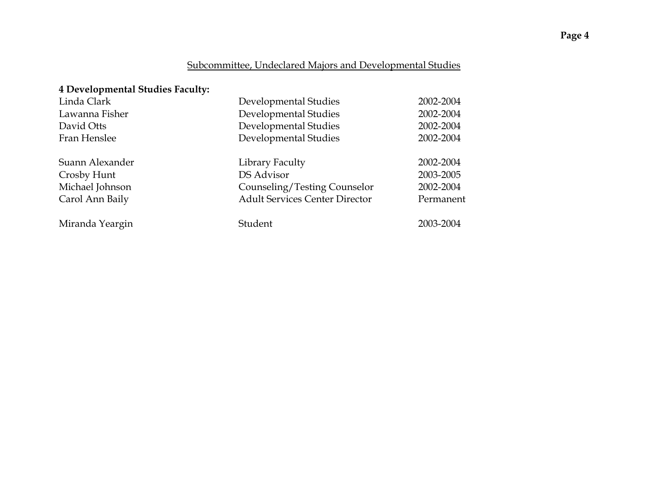# Subcommittee, Undeclared Majors and Developmental Studies

# **4 Developmental Studies Faculty:**

| Linda Clark     | Developmental Studies                 | 2002-2004 |
|-----------------|---------------------------------------|-----------|
| Lawanna Fisher  | Developmental Studies                 | 2002-2004 |
| David Otts      | Developmental Studies                 | 2002-2004 |
| Fran Henslee    | Developmental Studies                 | 2002-2004 |
| Suann Alexander | Library Faculty                       | 2002-2004 |
| Crosby Hunt     | DS Advisor                            | 2003-2005 |
| Michael Johnson | Counseling/Testing Counselor          | 2002-2004 |
| Carol Ann Baily | <b>Adult Services Center Director</b> | Permanent |
| Miranda Yeargin | Student                               | 2003-2004 |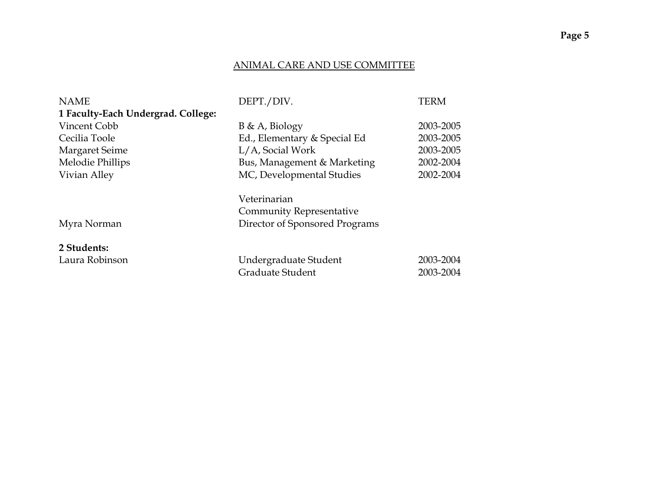### ANIMAL CARE AND USE COMMITTEE

| <b>NAME</b>                        | DEPT./DIV.                                      | <b>TERM</b>            |
|------------------------------------|-------------------------------------------------|------------------------|
| 1 Faculty-Each Undergrad. College: |                                                 |                        |
| Vincent Cobb                       | B & A, Biology                                  | 2003-2005              |
| Cecilia Toole                      | Ed., Elementary & Special Ed                    | 2003-2005              |
| Margaret Seime                     | L/A, Social Work                                | 2003-2005              |
| Melodie Phillips                   | Bus, Management & Marketing                     | 2002-2004              |
| Vivian Alley                       | MC, Developmental Studies                       | 2002-2004              |
|                                    | Veterinarian<br><b>Community Representative</b> |                        |
| Myra Norman                        | Director of Sponsored Programs                  |                        |
| 2 Students:                        |                                                 |                        |
| Laura Robinson                     | Undergraduate Student<br>Graduate Student       | 2003-2004<br>2003-2004 |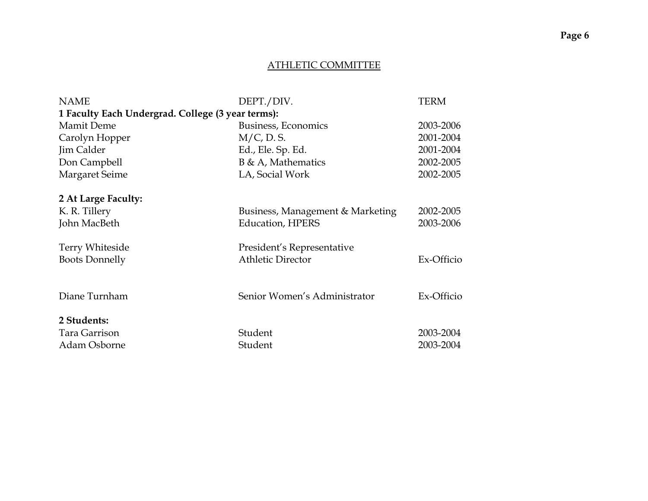#### ATHLETIC COMMITTEE

| <b>NAME</b>                                       | DEPT./DIV.                       | <b>TERM</b> |
|---------------------------------------------------|----------------------------------|-------------|
| 1 Faculty Each Undergrad. College (3 year terms): |                                  |             |
| <b>Mamit Deme</b>                                 | Business, Economics              | 2003-2006   |
| Carolyn Hopper                                    | $M/C$ , D. S.                    | 2001-2004   |
| Jim Calder                                        | Ed., Ele. Sp. Ed.                | 2001-2004   |
| Don Campbell                                      | $B \& A$ , Mathematics           | 2002-2005   |
| <b>Margaret Seime</b>                             | LA, Social Work                  | 2002-2005   |
|                                                   |                                  |             |
| 2 At Large Faculty:                               |                                  |             |
| K. R. Tillery                                     | Business, Management & Marketing | 2002-2005   |
| John MacBeth                                      | <b>Education, HPERS</b>          | 2003-2006   |
|                                                   |                                  |             |
| <b>Terry Whiteside</b>                            | President's Representative       |             |
| <b>Boots Donnelly</b>                             | <b>Athletic Director</b>         | Ex-Officio  |
|                                                   |                                  |             |
|                                                   |                                  |             |
| Diane Turnham                                     | Senior Women's Administrator     | Ex-Officio  |
|                                                   |                                  |             |
| 2 Students:                                       |                                  |             |
| Tara Garrison                                     | Student                          | 2003-2004   |
| Adam Osborne                                      | Student                          | 2003-2004   |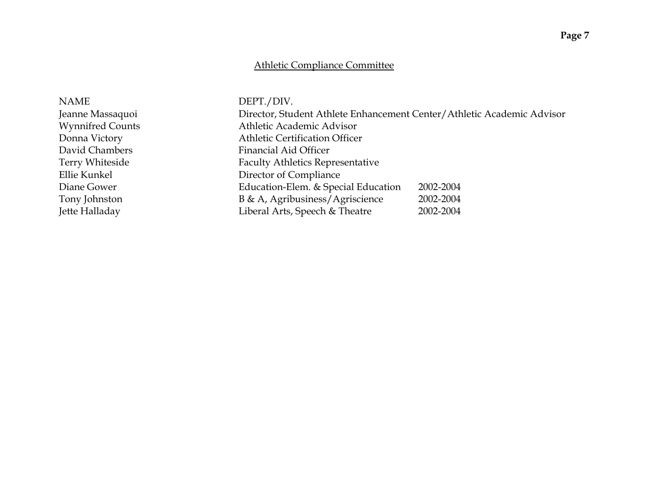# Athletic Compliance Committee

| <b>NAME</b>             | DEPT./DIV.                                                             |           |
|-------------------------|------------------------------------------------------------------------|-----------|
| Jeanne Massaquoi        | Director, Student Athlete Enhancement Center/Athletic Academic Advisor |           |
| <b>Wynnifred Counts</b> | Athletic Academic Advisor                                              |           |
| Donna Victory           | <b>Athletic Certification Officer</b>                                  |           |
| David Chambers          | <b>Financial Aid Officer</b>                                           |           |
| Terry Whiteside         | <b>Faculty Athletics Representative</b>                                |           |
| Ellie Kunkel            | Director of Compliance                                                 |           |
| Diane Gower             | Education-Elem. & Special Education                                    | 2002-2004 |
| Tony Johnston           | B & A, Agribusiness/Agriscience                                        | 2002-2004 |
| Jette Halladay          | Liberal Arts, Speech & Theatre                                         | 2002-2004 |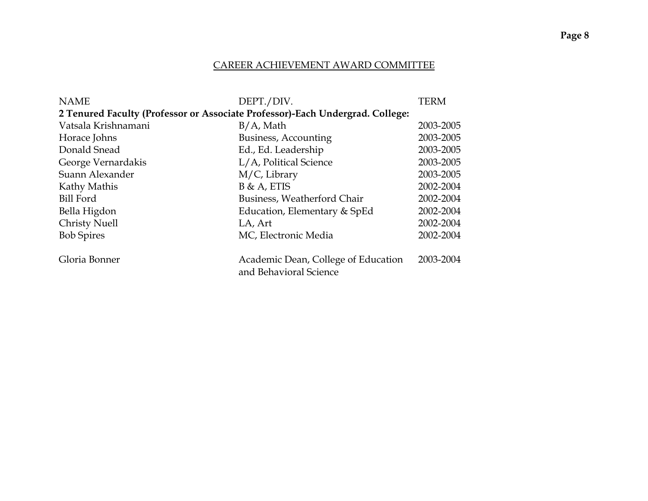#### CAREER ACHIEVEMENT AWARD COMMITTEE

| <b>NAME</b>                                                                   | DEPT./DIV.                          | <b>TERM</b> |
|-------------------------------------------------------------------------------|-------------------------------------|-------------|
| 2 Tenured Faculty (Professor or Associate Professor)-Each Undergrad. College: |                                     |             |
| Vatsala Krishnamani                                                           | $B/A$ , Math                        | 2003-2005   |
| Horace Johns                                                                  | Business, Accounting                | 2003-2005   |
| Donald Snead                                                                  | Ed., Ed. Leadership                 | 2003-2005   |
| George Vernardakis                                                            | L/A, Political Science              | 2003-2005   |
| Suann Alexander                                                               | $M/C$ , Library                     | 2003-2005   |
| Kathy Mathis                                                                  | $B & A$ , ETIS                      | 2002-2004   |
| Bill Ford                                                                     | Business, Weatherford Chair         | 2002-2004   |
| Bella Higdon                                                                  | Education, Elementary & SpEd        | 2002-2004   |
| <b>Christy Nuell</b>                                                          | LA, Art                             | 2002-2004   |
| <b>Bob Spires</b>                                                             | MC, Electronic Media                | 2002-2004   |
|                                                                               |                                     |             |
| Gloria Bonner                                                                 | Academic Dean, College of Education | 2003-2004   |
|                                                                               | and Behavioral Science              |             |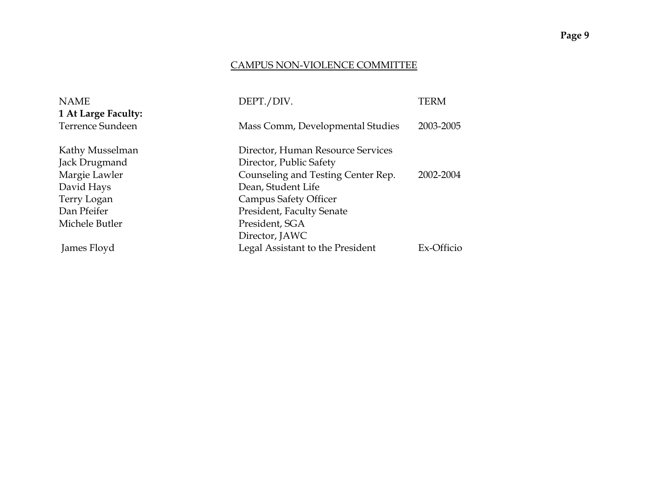### CAMPUS NON-VIOLENCE COMMITTEE

| <b>NAME</b>                             | DEPT./DIV.                         | TERM       |
|-----------------------------------------|------------------------------------|------------|
| 1 At Large Faculty:<br>Terrence Sundeen | Mass Comm, Developmental Studies   | 2003-2005  |
| Kathy Musselman                         | Director, Human Resource Services  |            |
| Jack Drugmand                           | Director, Public Safety            |            |
| Margie Lawler                           | Counseling and Testing Center Rep. | 2002-2004  |
| David Hays                              | Dean, Student Life                 |            |
| Terry Logan                             | <b>Campus Safety Officer</b>       |            |
| Dan Pfeifer                             | <b>President, Faculty Senate</b>   |            |
| Michele Butler                          | President, SGA                     |            |
|                                         | Director, JAWC                     |            |
| James Floyd                             | Legal Assistant to the President   | Ex-Officio |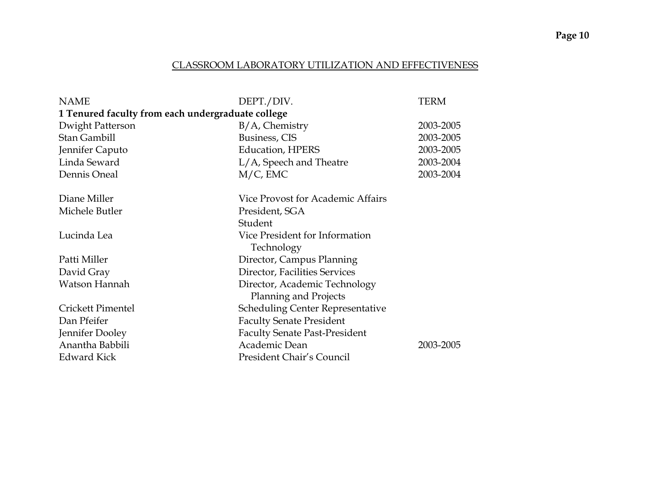### CLASSROOM LABORATORY UTILIZATION AND EFFECTIVENESS

| <b>NAME</b>                                       | DEPT./DIV.                              | TERM      |
|---------------------------------------------------|-----------------------------------------|-----------|
| 1 Tenured faculty from each undergraduate college |                                         |           |
| Dwight Patterson                                  | $B/A$ , Chemistry                       | 2003-2005 |
| Stan Gambill                                      | Business, CIS                           | 2003-2005 |
| Jennifer Caputo                                   | <b>Education, HPERS</b>                 | 2003-2005 |
| Linda Seward                                      | L/A, Speech and Theatre                 | 2003-2004 |
| Dennis Oneal                                      | $M/C$ , EMC                             | 2003-2004 |
|                                                   |                                         |           |
| Diane Miller                                      | Vice Provost for Academic Affairs       |           |
| Michele Butler                                    | President, SGA                          |           |
|                                                   | Student                                 |           |
| Lucinda Lea                                       | Vice President for Information          |           |
|                                                   | Technology                              |           |
| Patti Miller                                      | Director, Campus Planning               |           |
| David Gray                                        | Director, Facilities Services           |           |
| Watson Hannah                                     | Director, Academic Technology           |           |
|                                                   | <b>Planning and Projects</b>            |           |
| Crickett Pimentel                                 | <b>Scheduling Center Representative</b> |           |
| Dan Pfeifer                                       | <b>Faculty Senate President</b>         |           |
| Jennifer Dooley                                   | <b>Faculty Senate Past-President</b>    |           |
| Anantha Babbili                                   | Academic Dean                           | 2003-2005 |
| <b>Edward Kick</b>                                | President Chair's Council               |           |
|                                                   |                                         |           |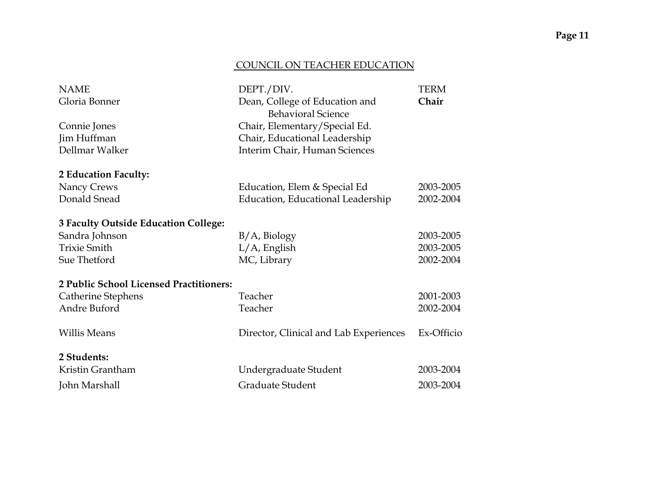### COUNCIL ON TEACHER EDUCATION

| <b>NAME</b>                             | DEPT./DIV.                                                  | <b>TERM</b> |
|-----------------------------------------|-------------------------------------------------------------|-------------|
| Gloria Bonner                           | Dean, College of Education and<br><b>Behavioral Science</b> | Chair       |
| Connie Jones                            | Chair, Elementary/Special Ed.                               |             |
| Jim Huffman                             | Chair, Educational Leadership                               |             |
| Dellmar Walker                          | Interim Chair, Human Sciences                               |             |
| 2 Education Faculty:                    |                                                             |             |
| Nancy Crews                             | Education, Elem & Special Ed                                | 2003-2005   |
| Donald Snead                            | Education, Educational Leadership                           | 2002-2004   |
| 3 Faculty Outside Education College:    |                                                             |             |
| Sandra Johnson                          | $B/A$ , Biology                                             | 2003-2005   |
| <b>Trixie Smith</b>                     | $L/A$ , English                                             | 2003-2005   |
| Sue Thetford                            | MC, Library                                                 | 2002-2004   |
| 2 Public School Licensed Practitioners: |                                                             |             |
| Catherine Stephens                      | Teacher                                                     | 2001-2003   |
| Andre Buford                            | Teacher                                                     | 2002-2004   |
| <b>Willis Means</b>                     | Director, Clinical and Lab Experiences                      | Ex-Officio  |
| 2 Students:                             |                                                             |             |
| Kristin Grantham                        | Undergraduate Student                                       | 2003-2004   |
| John Marshall                           | Graduate Student                                            | 2003-2004   |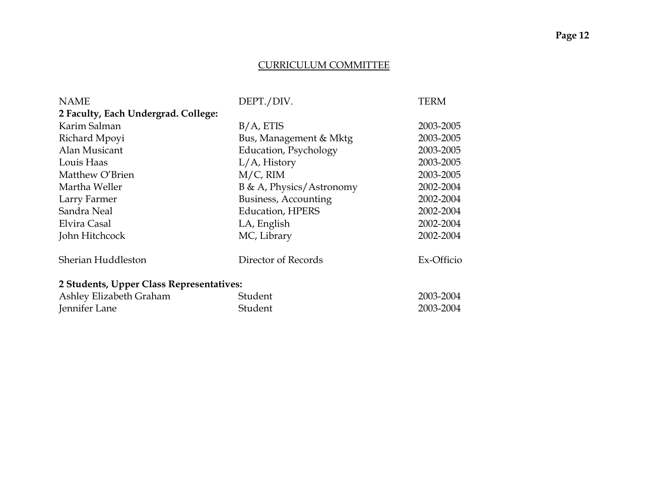### CURRICULUM COMMITTEE

| <b>NAME</b>                              | DEPT./DIV.               | <b>TERM</b> |
|------------------------------------------|--------------------------|-------------|
| 2 Faculty, Each Undergrad. College:      |                          |             |
| Karim Salman                             | $B/A$ , ETIS             | 2003-2005   |
| Richard Mpoyi                            | Bus, Management & Mktg   | 2003-2005   |
| Alan Musicant                            | Education, Psychology    | 2003-2005   |
| Louis Haas                               | $L/A$ , History          | 2003-2005   |
| Matthew O'Brien                          | $M/C$ , RIM              | 2003-2005   |
| Martha Weller                            | B & A, Physics/Astronomy | 2002-2004   |
| Larry Farmer                             | Business, Accounting     | 2002-2004   |
| Sandra Neal                              | <b>Education, HPERS</b>  | 2002-2004   |
| Elvira Casal                             | LA, English              | 2002-2004   |
| John Hitchcock                           | MC, Library              | 2002-2004   |
| Sherian Huddleston                       | Director of Records      | Ex-Officio  |
| 2 Students, Upper Class Representatives: |                          |             |
| Ashley Elizabeth Graham                  | Student                  | 2003-2004   |
| Jennifer Lane                            | Student                  | 2003-2004   |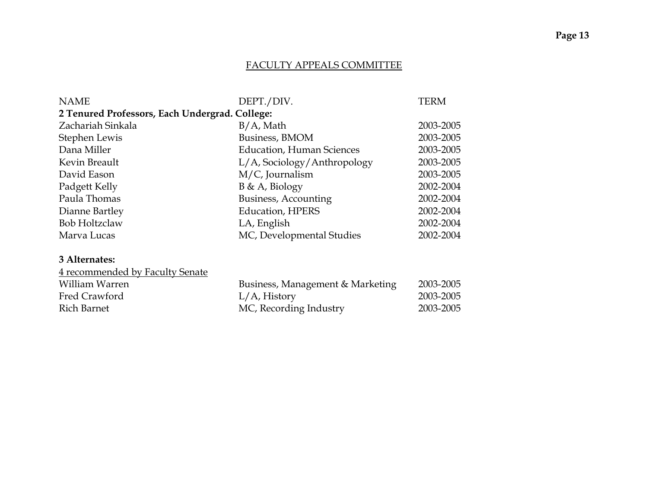### FACULTY APPEALS COMMITTEE

| <b>NAME</b>                                    | DEPT./DIV.                       | <b>TERM</b> |
|------------------------------------------------|----------------------------------|-------------|
| 2 Tenured Professors, Each Undergrad. College: |                                  |             |
| Zachariah Sinkala                              | $B/A$ , Math                     | 2003-2005   |
| Stephen Lewis                                  | Business, BMOM                   | 2003-2005   |
| Dana Miller                                    | <b>Education, Human Sciences</b> | 2003-2005   |
| Kevin Breault                                  | L/A, Sociology/Anthropology      | 2003-2005   |
| David Eason                                    | $M/C$ , Journalism               | 2003-2005   |
| Padgett Kelly                                  | $B \& A$ , Biology               | 2002-2004   |
| Paula Thomas                                   | Business, Accounting             | 2002-2004   |
| Dianne Bartley                                 | <b>Education, HPERS</b>          | 2002-2004   |
| <b>Bob Holtzclaw</b>                           | LA, English                      | 2002-2004   |
| Marva Lucas                                    | MC, Developmental Studies        | 2002-2004   |
| 3 Alternates:                                  |                                  |             |
| 4 recommended by Faculty Senate                |                                  |             |
| William Warren                                 | Business, Management & Marketing | 2003-2005   |
| Fred Crawford                                  | $L/A$ , History                  | 2003-2005   |

Rich Barnet MC, Recording Industry 2003-2005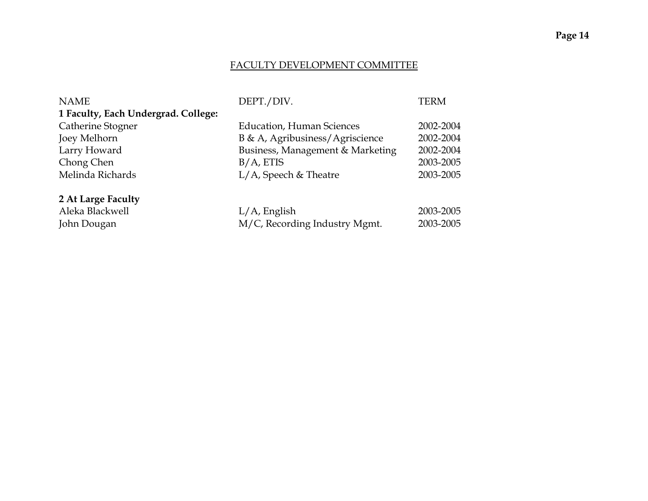# **Page 14**

#### FACULTY DEVELOPMENT COMMITTEE

| <b>NAME</b>                         | DEPT./DIV.                       | TERM      |
|-------------------------------------|----------------------------------|-----------|
| 1 Faculty, Each Undergrad. College: |                                  |           |
| Catherine Stogner                   | <b>Education, Human Sciences</b> | 2002-2004 |
| Joey Melhorn                        | B & A, Agribusiness/Agriscience  | 2002-2004 |
| Larry Howard                        | Business, Management & Marketing | 2002-2004 |
| Chong Chen                          | $B/A$ , ETIS                     | 2003-2005 |
| Melinda Richards                    | $L/A$ , Speech & Theatre         | 2003-2005 |
|                                     |                                  |           |
| 2 At Large Faculty                  |                                  |           |
| Aleka Blackwell                     | $L/A$ , English                  | 2003-2005 |
| John Dougan                         | M/C, Recording Industry Mgmt.    | 2003-2005 |
|                                     |                                  |           |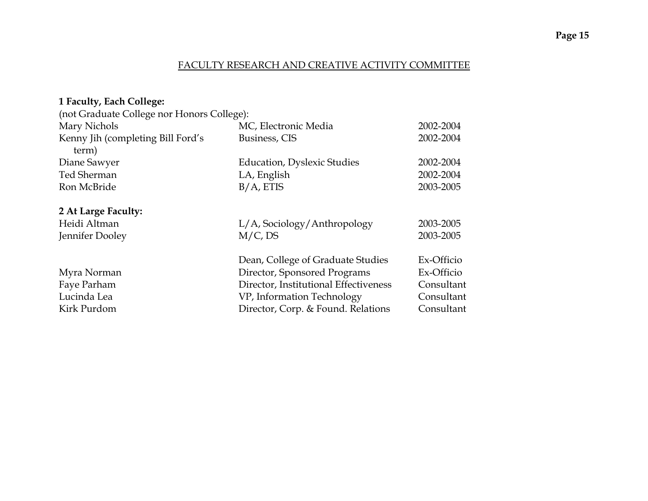### FACULTY RESEARCH AND CREATIVE ACTIVITY COMMITTEE

| (not Graduate College nor Honors College): |                              |
|--------------------------------------------|------------------------------|
| MC, Electronic Media                       | 2002-2004                    |
| Business, CIS                              | 2002-2004                    |
|                                            |                              |
| <b>Education, Dyslexic Studies</b>         | 2002-2004                    |
| LA, English                                | 2002-2004                    |
| $B/A$ , ETIS                               | 2003-2005                    |
|                                            |                              |
|                                            |                              |
| L/A, Sociology/Anthropology                | 2003-2005                    |
| $M/C$ , DS                                 | 2003-2005                    |
|                                            |                              |
| Dean, College of Graduate Studies          | Ex-Officio                   |
|                                            | Ex-Officio                   |
| Director, Institutional Effectiveness      | Consultant                   |
| VP, Information Technology                 | Consultant                   |
| Director, Corp. & Found. Relations         | Consultant                   |
|                                            | Director, Sponsored Programs |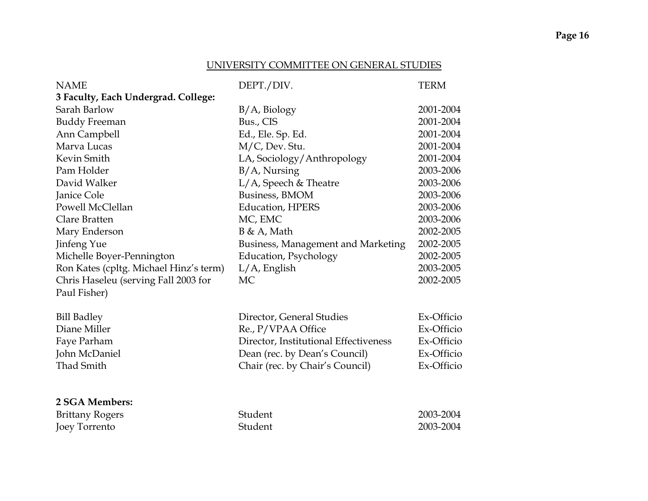#### UNIVERSITY COMMITTEE ON GENERAL STUDIES

| <b>NAME</b>                            | DEPT./DIV.                            | <b>TERM</b> |
|----------------------------------------|---------------------------------------|-------------|
| 3 Faculty, Each Undergrad. College:    |                                       |             |
| Sarah Barlow                           | $B/A$ , Biology                       | 2001-2004   |
| <b>Buddy Freeman</b>                   | Bus., CIS                             | 2001-2004   |
| Ann Campbell                           | Ed., Ele. Sp. Ed.                     | 2001-2004   |
| Marva Lucas                            | M/C, Dev. Stu.                        | 2001-2004   |
| Kevin Smith                            | LA, Sociology/Anthropology            | 2001-2004   |
| Pam Holder                             | $B/A$ , Nursing                       | 2003-2006   |
| David Walker                           | $L/A$ , Speech & Theatre              | 2003-2006   |
| Janice Cole                            | Business, BMOM                        | 2003-2006   |
| Powell McClellan                       | <b>Education</b> , HPERS              | 2003-2006   |
| Clare Bratten                          | MC, EMC                               | 2003-2006   |
| Mary Enderson                          | $B \& A$ , Math                       | 2002-2005   |
| Jinfeng Yue                            | Business, Management and Marketing    | 2002-2005   |
| Michelle Boyer-Pennington              | <b>Education</b> , Psychology         | 2002-2005   |
| Ron Kates (cpltg. Michael Hinz's term) | $L/A$ , English                       | 2003-2005   |
| Chris Haseleu (serving Fall 2003 for   | MC                                    | 2002-2005   |
| Paul Fisher)                           |                                       |             |
| <b>Bill Badley</b>                     | Director, General Studies             | Ex-Officio  |
| Diane Miller                           | Re., P/VPAA Office                    | Ex-Officio  |
| Faye Parham                            | Director, Institutional Effectiveness | Ex-Officio  |
| John McDaniel                          | Dean (rec. by Dean's Council)         | Ex-Officio  |
| Thad Smith                             | Chair (rec. by Chair's Council)       | Ex-Officio  |
|                                        |                                       |             |
|                                        |                                       |             |
| 2 SGA Members:                         |                                       |             |
| <b>Brittany Rogers</b>                 | Student                               | 2003-2004   |
| Joey Torrento                          | Student                               | 2003-2004   |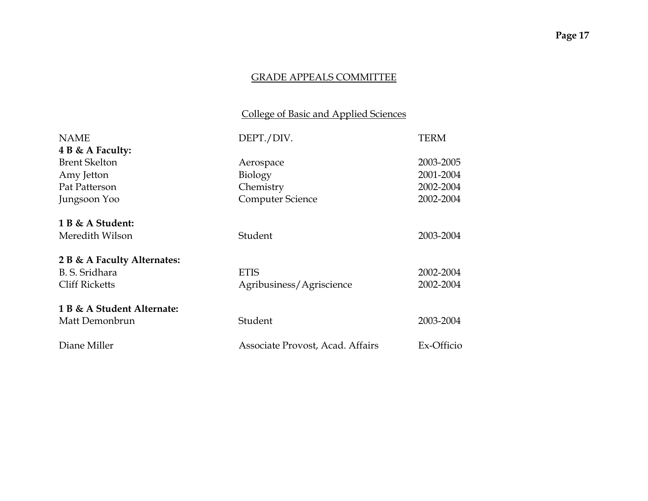# College of Basic and Applied Sciences

| <b>NAME</b>                 | DEPT./DIV.                       | <b>TERM</b> |
|-----------------------------|----------------------------------|-------------|
| 4 B & A Faculty:            |                                  |             |
| <b>Brent Skelton</b>        | Aerospace                        | 2003-2005   |
| Amy Jetton                  | Biology                          | 2001-2004   |
| Pat Patterson               | Chemistry                        | 2002-2004   |
| Jungsoon Yoo                | <b>Computer Science</b>          | 2002-2004   |
| 1 B & A Student:            |                                  |             |
| Meredith Wilson             | Student                          | 2003-2004   |
| 2 B & A Faculty Alternates: |                                  |             |
| B. S. Sridhara              | <b>ETIS</b>                      | 2002-2004   |
| <b>Cliff Ricketts</b>       | Agribusiness/Agriscience         | 2002-2004   |
| 1 B & A Student Alternate:  |                                  |             |
| Matt Demonbrun              | Student                          | 2003-2004   |
| Diane Miller                | Associate Provost, Acad. Affairs | Ex-Officio  |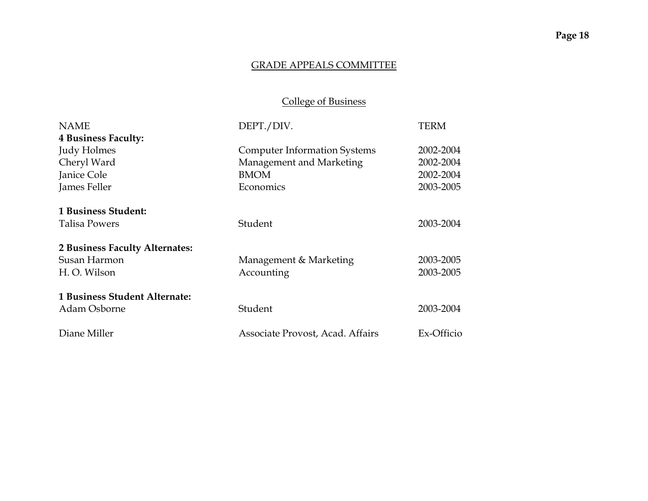# College of Business

| <b>NAME</b>                    | DEPT./DIV.                          | TERM       |
|--------------------------------|-------------------------------------|------------|
| <b>4 Business Faculty:</b>     |                                     |            |
| Judy Holmes                    | <b>Computer Information Systems</b> | 2002-2004  |
| Cheryl Ward                    | Management and Marketing            | 2002-2004  |
| Janice Cole                    | <b>BMOM</b>                         | 2002-2004  |
| James Feller                   | Economics                           | 2003-2005  |
| 1 Business Student:            |                                     |            |
| <b>Talisa Powers</b>           | Student                             | 2003-2004  |
| 2 Business Faculty Alternates: |                                     |            |
| Susan Harmon                   | Management & Marketing              | 2003-2005  |
| H.O. Wilson                    | Accounting                          | 2003-2005  |
| 1 Business Student Alternate:  |                                     |            |
| Adam Osborne                   | Student                             | 2003-2004  |
| Diane Miller                   | Associate Provost, Acad. Affairs    | Ex-Officio |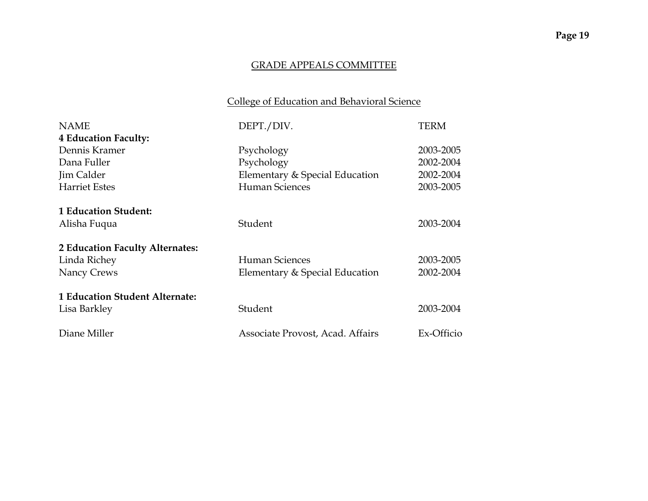# College of Education and Behavioral Science

| <b>NAME</b>                           | DEPT./DIV.                       | TERM       |
|---------------------------------------|----------------------------------|------------|
| <b>4 Education Faculty:</b>           |                                  |            |
| Dennis Kramer                         | Psychology                       | 2003-2005  |
| Dana Fuller                           | Psychology                       | 2002-2004  |
| Jim Calder                            | Elementary & Special Education   | 2002-2004  |
| <b>Harriet Estes</b>                  | Human Sciences                   | 2003-2005  |
| 1 Education Student:                  |                                  |            |
| Alisha Fuqua                          | Student                          | 2003-2004  |
| 2 Education Faculty Alternates:       |                                  |            |
| Linda Richey                          | Human Sciences                   | 2003-2005  |
| Nancy Crews                           | Elementary & Special Education   | 2002-2004  |
| <b>1 Education Student Alternate:</b> |                                  |            |
| Lisa Barkley                          | Student                          | 2003-2004  |
| Diane Miller                          | Associate Provost, Acad. Affairs | Ex-Officio |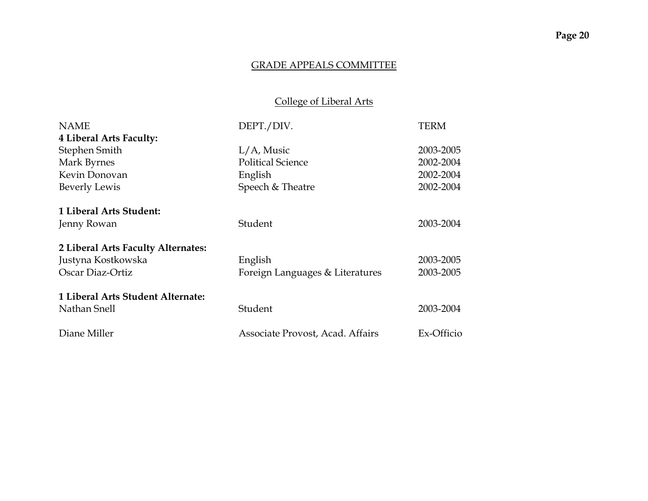# College of Liberal Arts

| <b>NAME</b>                        | DEPT./DIV.                       | TERM       |
|------------------------------------|----------------------------------|------------|
| 4 Liberal Arts Faculty:            |                                  |            |
| Stephen Smith                      | $L/A$ , Music                    | 2003-2005  |
| Mark Byrnes                        | <b>Political Science</b>         | 2002-2004  |
| Kevin Donovan                      | English                          | 2002-2004  |
| Beverly Lewis                      | Speech & Theatre                 | 2002-2004  |
| 1 Liberal Arts Student:            |                                  |            |
| Jenny Rowan                        | Student                          | 2003-2004  |
| 2 Liberal Arts Faculty Alternates: |                                  |            |
| Justyna Kostkowska                 | English                          | 2003-2005  |
| Oscar Diaz-Ortiz                   | Foreign Languages & Literatures  | 2003-2005  |
| 1 Liberal Arts Student Alternate:  |                                  |            |
| Nathan Snell                       | Student                          | 2003-2004  |
| Diane Miller                       | Associate Provost, Acad. Affairs | Ex-Officio |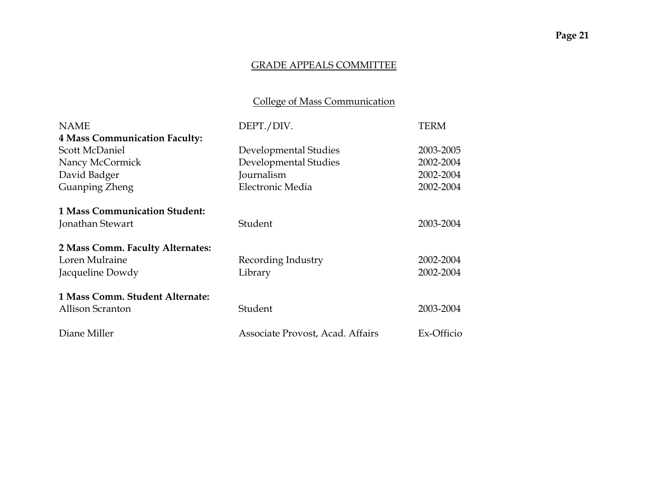# College of Mass Communication

| <b>NAME</b>                          | DEPT./DIV.                       | TERM       |
|--------------------------------------|----------------------------------|------------|
| <b>4 Mass Communication Faculty:</b> |                                  |            |
| Scott McDaniel                       | Developmental Studies            | 2003-2005  |
| Nancy McCormick                      | Developmental Studies            | 2002-2004  |
| David Badger                         | Journalism                       | 2002-2004  |
| Guanping Zheng                       | Electronic Media                 | 2002-2004  |
| <b>1 Mass Communication Student:</b> |                                  |            |
| Jonathan Stewart                     | Student                          | 2003-2004  |
| 2 Mass Comm. Faculty Alternates:     |                                  |            |
| Loren Mulraine                       | Recording Industry               | 2002-2004  |
| Jacqueline Dowdy                     | Library                          | 2002-2004  |
| 1 Mass Comm. Student Alternate:      |                                  |            |
| Allison Scranton                     | Student                          | 2003-2004  |
| Diane Miller                         | Associate Provost, Acad. Affairs | Ex-Officio |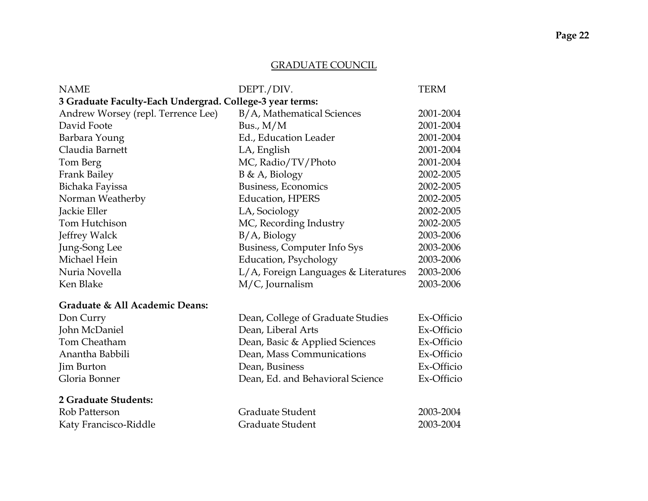# GRADUATE COUNCIL

| <b>NAME</b>                                              | DEPT./DIV.                           | <b>TERM</b> |  |
|----------------------------------------------------------|--------------------------------------|-------------|--|
| 3 Graduate Faculty-Each Undergrad. College-3 year terms: |                                      |             |  |
| Andrew Worsey (repl. Terrence Lee)                       | B/A, Mathematical Sciences           | 2001-2004   |  |
| David Foote                                              | Bus., $M/M$                          | 2001-2004   |  |
| Barbara Young                                            | Ed., Education Leader                | 2001-2004   |  |
| Claudia Barnett                                          | LA, English                          | 2001-2004   |  |
| Tom Berg                                                 | MC, Radio/TV/Photo                   | 2001-2004   |  |
| Frank Bailey                                             | B & A, Biology                       | 2002-2005   |  |
| Bichaka Fayissa                                          | Business, Economics                  | 2002-2005   |  |
| Norman Weatherby                                         | <b>Education, HPERS</b>              | 2002-2005   |  |
| Jackie Eller                                             | LA, Sociology                        | 2002-2005   |  |
| Tom Hutchison                                            | MC, Recording Industry               | 2002-2005   |  |
| Jeffrey Walck                                            | $B/A$ , Biology                      | 2003-2006   |  |
| Jung-Song Lee                                            | Business, Computer Info Sys          | 2003-2006   |  |
| Michael Hein                                             | <b>Education</b> , Psychology        | 2003-2006   |  |
| Nuria Novella                                            | L/A, Foreign Languages & Literatures | 2003-2006   |  |
| Ken Blake                                                | M/C, Journalism                      | 2003-2006   |  |
| Graduate & All Academic Deans:                           |                                      |             |  |
| Don Curry                                                | Dean, College of Graduate Studies    | Ex-Officio  |  |
| John McDaniel                                            | Dean, Liberal Arts                   | Ex-Officio  |  |
| Tom Cheatham                                             | Dean, Basic & Applied Sciences       | Ex-Officio  |  |
| Anantha Babbili                                          | Dean, Mass Communications            | Ex-Officio  |  |
| Jim Burton                                               | Dean, Business                       | Ex-Officio  |  |
| Gloria Bonner                                            | Dean, Ed. and Behavioral Science     | Ex-Officio  |  |
| 2 Graduate Students:                                     |                                      |             |  |
| Rob Patterson                                            | Graduate Student                     | 2003-2004   |  |
| Katy Francisco-Riddle                                    | Graduate Student                     | 2003-2004   |  |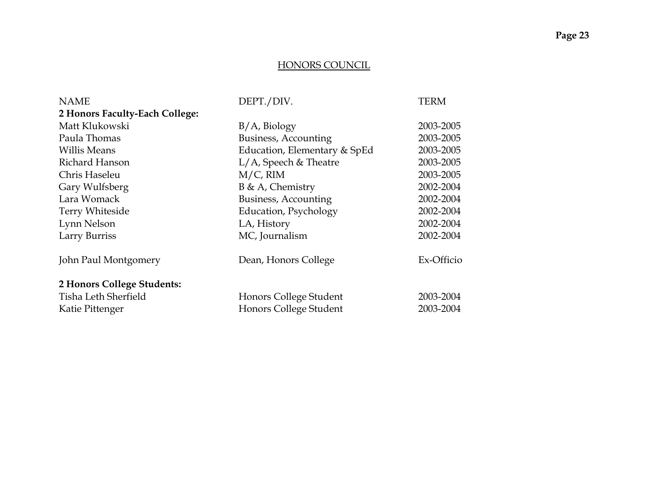#### HONORS COUNCIL

| <b>NAME</b>                    | DEPT./DIV.                   | <b>TERM</b> |
|--------------------------------|------------------------------|-------------|
| 2 Honors Faculty-Each College: |                              |             |
| Matt Klukowski                 | B/A, Biology                 | 2003-2005   |
| Paula Thomas                   | Business, Accounting         | 2003-2005   |
| <b>Willis Means</b>            | Education, Elementary & SpEd | 2003-2005   |
| Richard Hanson                 | $L/A$ , Speech & Theatre     | 2003-2005   |
| Chris Haseleu                  | $M/C$ , RIM                  | 2003-2005   |
| Gary Wulfsberg                 | $B \& A$ , Chemistry         | 2002-2004   |
| Lara Womack                    | Business, Accounting         | 2002-2004   |
| Terry Whiteside                | Education, Psychology        | 2002-2004   |
| Lynn Nelson                    | LA, History                  | 2002-2004   |
| Larry Burriss                  | MC, Journalism               | 2002-2004   |
| John Paul Montgomery           | Dean, Honors College         | Ex-Officio  |
| 2 Honors College Students:     |                              |             |
| Tisha Leth Sherfield           | Honors College Student       | 2003-2004   |
| Katie Pittenger                | Honors College Student       | 2003-2004   |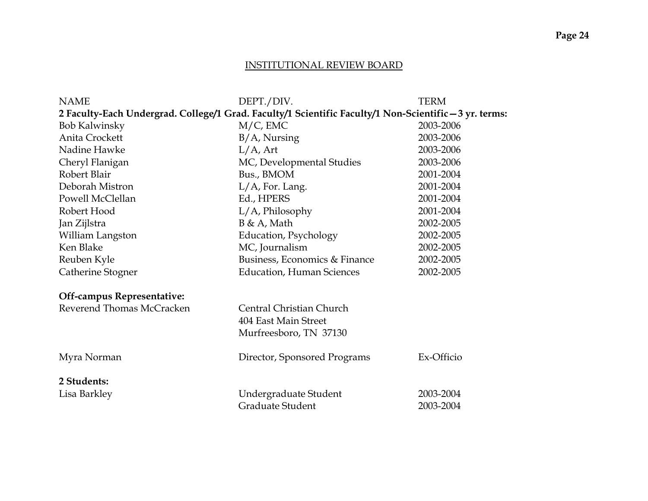#### INSTITUTIONAL REVIEW BOARD

| <b>NAME</b>                                                                                            | DEPT./DIV.                       | TERM       |  |  |
|--------------------------------------------------------------------------------------------------------|----------------------------------|------------|--|--|
| 2 Faculty-Each Undergrad. College/1 Grad. Faculty/1 Scientific Faculty/1 Non-Scientific - 3 yr. terms: |                                  |            |  |  |
| <b>Bob Kalwinsky</b>                                                                                   | $M/C$ , EMC                      | 2003-2006  |  |  |
| Anita Crockett                                                                                         | $B/A$ , Nursing                  | 2003-2006  |  |  |
| Nadine Hawke                                                                                           | $L/A$ , Art                      | 2003-2006  |  |  |
| Cheryl Flanigan                                                                                        | MC, Developmental Studies        | 2003-2006  |  |  |
| Robert Blair                                                                                           | Bus., BMOM                       | 2001-2004  |  |  |
| Deborah Mistron                                                                                        | L/A, For. Lang.                  | 2001-2004  |  |  |
| Powell McClellan                                                                                       | Ed., HPERS                       | 2001-2004  |  |  |
| Robert Hood                                                                                            | $L/A$ , Philosophy               | 2001-2004  |  |  |
| Jan Zijlstra                                                                                           | B & A, Math                      | 2002-2005  |  |  |
| William Langston                                                                                       | Education, Psychology            | 2002-2005  |  |  |
| Ken Blake                                                                                              | MC, Journalism                   | 2002-2005  |  |  |
| Reuben Kyle                                                                                            | Business, Economics & Finance    | 2002-2005  |  |  |
| Catherine Stogner                                                                                      | <b>Education, Human Sciences</b> | 2002-2005  |  |  |
| <b>Off-campus Representative:</b>                                                                      |                                  |            |  |  |
| Reverend Thomas McCracken                                                                              | Central Christian Church         |            |  |  |
|                                                                                                        | 404 East Main Street             |            |  |  |
|                                                                                                        | Murfreesboro, TN 37130           |            |  |  |
| Myra Norman                                                                                            | Director, Sponsored Programs     | Ex-Officio |  |  |
| 2 Students:                                                                                            |                                  |            |  |  |
| Lisa Barkley                                                                                           | Undergraduate Student            | 2003-2004  |  |  |
|                                                                                                        | Graduate Student                 | 2003-2004  |  |  |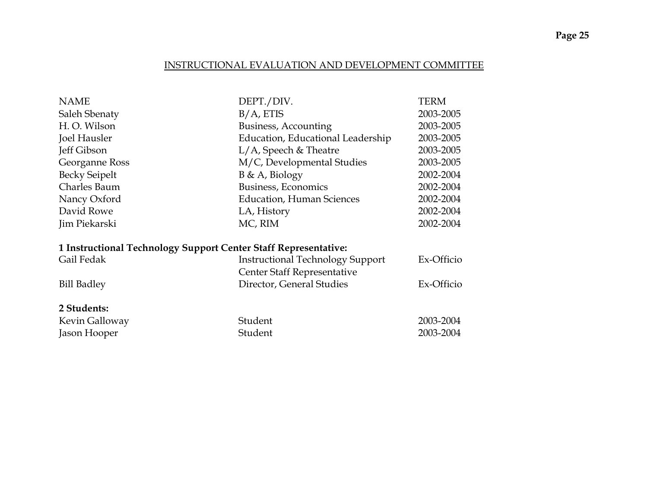### INSTRUCTIONAL EVALUATION AND DEVELOPMENT COMMITTEE

| DEPT./DIV.                                                      | TERM       |
|-----------------------------------------------------------------|------------|
| $B/A$ , ETIS                                                    | 2003-2005  |
| Business, Accounting                                            | 2003-2005  |
| Education, Educational Leadership                               | 2003-2005  |
| $L/A$ , Speech & Theatre                                        | 2003-2005  |
| M/C, Developmental Studies                                      | 2003-2005  |
| $B \& A$ , Biology                                              | 2002-2004  |
| Business, Economics                                             | 2002-2004  |
| <b>Education, Human Sciences</b>                                | 2002-2004  |
| LA, History                                                     | 2002-2004  |
| MC, RIM                                                         | 2002-2004  |
| 1 Instructional Technology Support Center Staff Representative: |            |
| <b>Instructional Technology Support</b>                         | Ex-Officio |
| Center Staff Representative                                     |            |
| Director, General Studies                                       | Ex-Officio |
|                                                                 |            |
| Student                                                         | 2003-2004  |
| Student                                                         | 2003-2004  |
|                                                                 |            |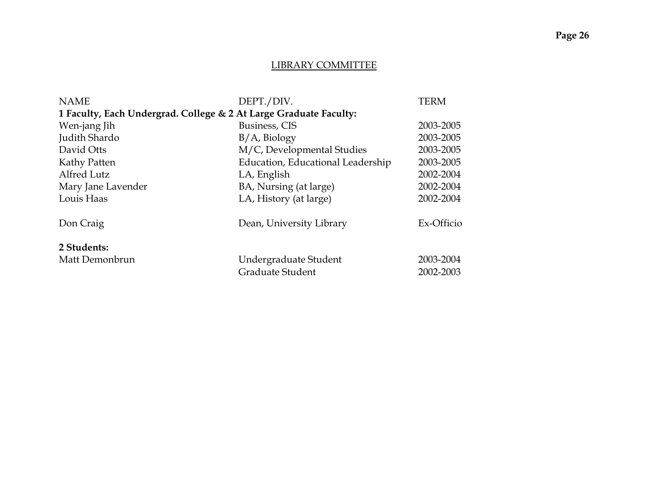#### LIBRARY COMMITTEE

| <b>NAME</b>                                                       | DEPT./DIV.                        | <b>TERM</b> |
|-------------------------------------------------------------------|-----------------------------------|-------------|
| 1 Faculty, Each Undergrad. College & 2 At Large Graduate Faculty: |                                   |             |
| Wen-jang Jih                                                      | Business, CIS                     | 2003-2005   |
| Judith Shardo                                                     | $B/A$ , Biology                   | 2003-2005   |
| David Otts                                                        | M/C, Developmental Studies        | 2003-2005   |
| Kathy Patten                                                      | Education, Educational Leadership | 2003-2005   |
| Alfred Lutz                                                       | LA, English                       | 2002-2004   |
| Mary Jane Lavender                                                | BA, Nursing (at large)            | 2002-2004   |
| Louis Haas                                                        | LA, History (at large)            | 2002-2004   |
| Don Craig                                                         | Dean, University Library          | Ex-Officio  |
| 2 Students:                                                       |                                   |             |
| Matt Demonbrun                                                    | Undergraduate Student             | 2003-2004   |
|                                                                   | Graduate Student                  | 2002-2003   |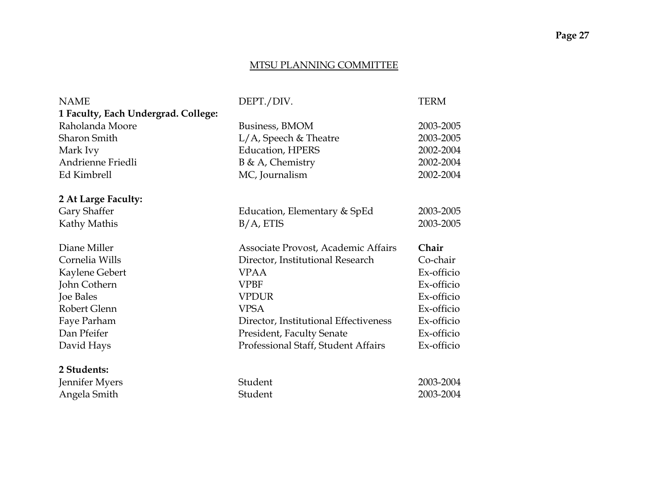#### MTSU PLANNING COMMITTEE

| <b>NAME</b>                         | DEPT./DIV.                            | <b>TERM</b> |
|-------------------------------------|---------------------------------------|-------------|
| 1 Faculty, Each Undergrad. College: |                                       |             |
| Raholanda Moore                     | Business, BMOM                        | 2003-2005   |
| <b>Sharon Smith</b>                 | $L/A$ , Speech & Theatre              | 2003-2005   |
| Mark Ivy                            | <b>Education, HPERS</b>               | 2002-2004   |
| Andrienne Friedli                   | $B \& A$ , Chemistry                  | 2002-2004   |
| Ed Kimbrell                         | MC, Journalism                        | 2002-2004   |
| 2 At Large Faculty:                 |                                       |             |
| Gary Shaffer                        | Education, Elementary & SpEd          | 2003-2005   |
| Kathy Mathis                        | $B/A$ , ETIS                          | 2003-2005   |
| Diane Miller                        | Associate Provost, Academic Affairs   | Chair       |
| Cornelia Wills                      | Director, Institutional Research      | Co-chair    |
| Kaylene Gebert                      | <b>VPAA</b>                           | Ex-officio  |
|                                     |                                       |             |
| John Cothern                        | <b>VPBF</b>                           | Ex-officio  |
| <b>Joe Bales</b>                    | <b>VPDUR</b>                          | Ex-officio  |
| Robert Glenn                        | <b>VPSA</b>                           | Ex-officio  |
| Faye Parham                         | Director, Institutional Effectiveness | Ex-officio  |
| Dan Pfeifer                         | <b>President, Faculty Senate</b>      | Ex-officio  |
| David Hays                          | Professional Staff, Student Affairs   | Ex-officio  |
| 2 Students:                         |                                       |             |
| Jennifer Myers                      | Student                               | 2003-2004   |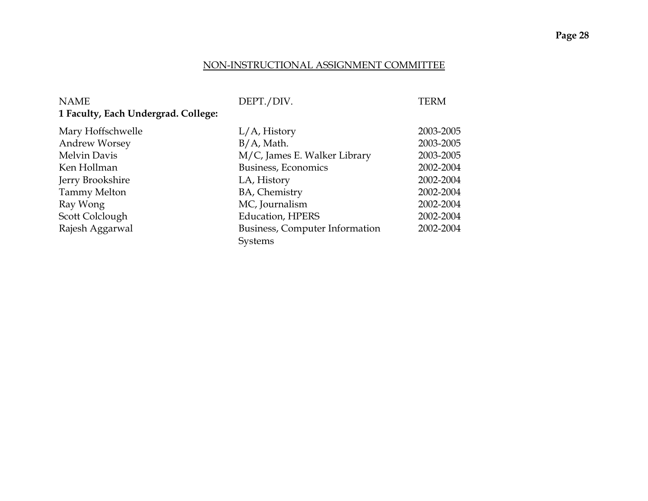#### NON-INSTRUCTIONAL ASSIGNMENT COMMITTEE

| <b>NAME</b>                         | DEPT./DIV.                     | <b>TERM</b> |
|-------------------------------------|--------------------------------|-------------|
| 1 Faculty, Each Undergrad. College: |                                |             |
| Mary Hoffschwelle                   | $L/A$ , History                | 2003-2005   |
| <b>Andrew Worsey</b>                | $B/A$ , Math.                  | 2003-2005   |
| Melvin Davis                        | M/C, James E. Walker Library   | 2003-2005   |
| Ken Hollman                         | Business, Economics            | 2002-2004   |
| Jerry Brookshire                    | LA, History                    | 2002-2004   |
| <b>Tammy Melton</b>                 | BA, Chemistry                  | 2002-2004   |
| Ray Wong                            | MC, Journalism                 | 2002-2004   |
| Scott Colclough                     | <b>Education, HPERS</b>        | 2002-2004   |
| Rajesh Aggarwal                     | Business, Computer Information | 2002-2004   |
|                                     | <b>Systems</b>                 |             |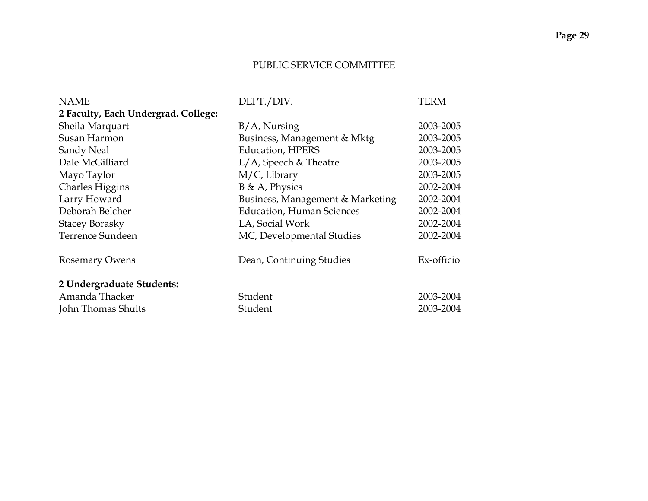#### PUBLIC SERVICE COMMITTEE

| <b>NAME</b>                         | DEPT./DIV.                       | <b>TERM</b> |
|-------------------------------------|----------------------------------|-------------|
| 2 Faculty, Each Undergrad. College: |                                  |             |
| Sheila Marquart                     | $B/A$ , Nursing                  | 2003-2005   |
| Susan Harmon                        | Business, Management & Mktg      | 2003-2005   |
| Sandy Neal                          | <b>Education, HPERS</b>          | 2003-2005   |
| Dale McGilliard                     | $L/A$ , Speech & Theatre         | 2003-2005   |
| Mayo Taylor                         | M/C, Library                     | 2003-2005   |
| <b>Charles Higgins</b>              | $B \& A$ , Physics               | 2002-2004   |
| Larry Howard                        | Business, Management & Marketing | 2002-2004   |
| Deborah Belcher                     | <b>Education, Human Sciences</b> | 2002-2004   |
| <b>Stacey Borasky</b>               | LA, Social Work                  | 2002-2004   |
| Terrence Sundeen                    | MC, Developmental Studies        | 2002-2004   |
| <b>Rosemary Owens</b>               | Dean, Continuing Studies         | Ex-officio  |
| 2 Undergraduate Students:           |                                  |             |
| Amanda Thacker                      | Student                          | 2003-2004   |
| John Thomas Shults                  | Student                          | 2003-2004   |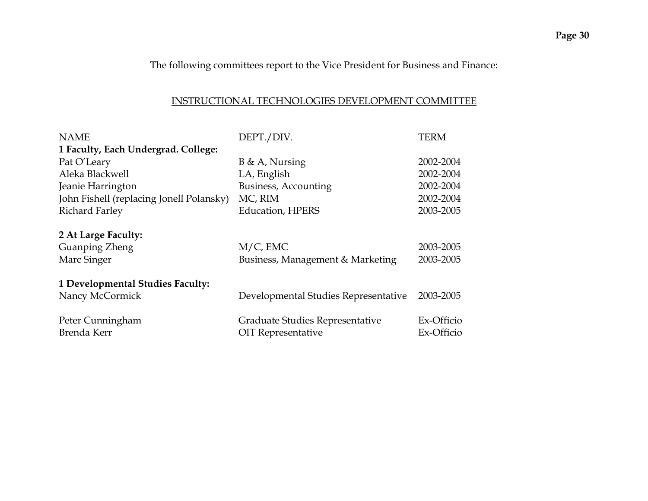The following committees report to the Vice President for Business and Finance:

### INSTRUCTIONAL TECHNOLOGIES DEVELOPMENT COMMITTEE

| <b>NAME</b>                              | DEPT./DIV.                           | <b>TERM</b> |
|------------------------------------------|--------------------------------------|-------------|
| 1 Faculty, Each Undergrad. College:      |                                      |             |
| Pat O'Leary                              | $B \& A$ , Nursing                   | 2002-2004   |
| Aleka Blackwell                          | LA, English                          | 2002-2004   |
| Jeanie Harrington                        | Business, Accounting                 | 2002-2004   |
| John Fishell (replacing Jonell Polansky) | MC, RIM                              | 2002-2004   |
| <b>Richard Farley</b>                    | <b>Education, HPERS</b>              | 2003-2005   |
| 2 At Large Faculty:                      |                                      |             |
| <b>Guanping Zheng</b>                    | $M/C$ , EMC                          | 2003-2005   |
| Marc Singer                              | Business, Management & Marketing     | 2003-2005   |
| 1 Developmental Studies Faculty:         |                                      |             |
| Nancy McCormick                          | Developmental Studies Representative | 2003-2005   |
| Peter Cunningham                         | Graduate Studies Representative      | Ex-Officio  |
| Brenda Kerr                              | OIT Representative                   | Ex-Officio  |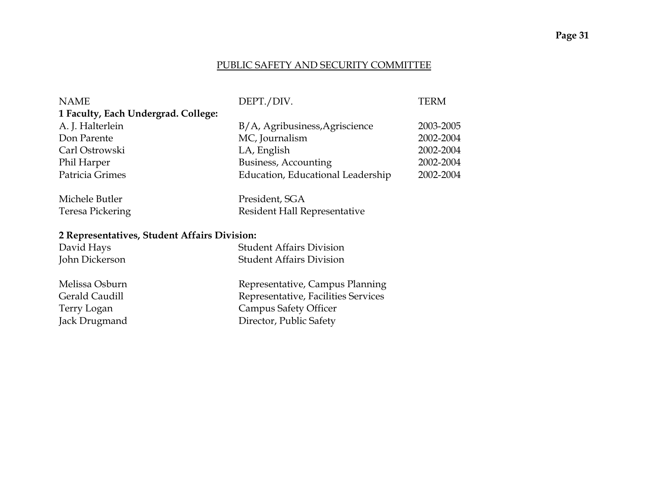### PUBLIC SAFETY AND SECURITY COMMITTEE

| <b>NAME</b>                                  | DEPT./DIV.                          | <b>TERM</b> |
|----------------------------------------------|-------------------------------------|-------------|
| 1 Faculty, Each Undergrad. College:          |                                     |             |
| A. J. Halterlein                             | B/A, Agribusiness, Agriscience      | 2003-2005   |
| Don Parente                                  | MC, Journalism                      | 2002-2004   |
| Carl Ostrowski                               | LA, English                         | 2002-2004   |
| Phil Harper                                  | Business, Accounting                | 2002-2004   |
| Patricia Grimes                              | Education, Educational Leadership   | 2002-2004   |
|                                              |                                     |             |
| Michele Butler                               | President, SGA                      |             |
| <b>Teresa Pickering</b>                      | Resident Hall Representative        |             |
|                                              |                                     |             |
| 2 Representatives, Student Affairs Division: |                                     |             |
| David Hays                                   | <b>Student Affairs Division</b>     |             |
| John Dickerson                               | <b>Student Affairs Division</b>     |             |
|                                              |                                     |             |
| Melissa Osburn                               | Representative, Campus Planning     |             |
| <b>Gerald Caudill</b>                        | Representative, Facilities Services |             |
| Terry Logan                                  | <b>Campus Safety Officer</b>        |             |
| Jack Drugmand                                | Director, Public Safety             |             |
|                                              |                                     |             |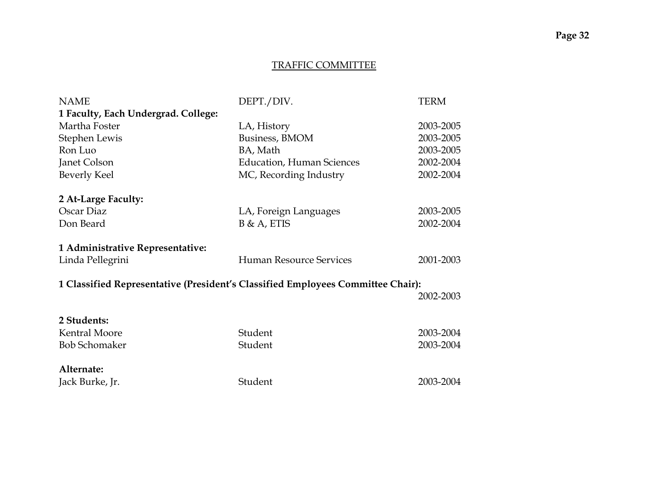#### TRAFFIC COMMITTEE

| <b>NAME</b>                                                                     | DEPT./DIV.                       | <b>TERM</b> |
|---------------------------------------------------------------------------------|----------------------------------|-------------|
| 1 Faculty, Each Undergrad. College:                                             |                                  |             |
| Martha Foster                                                                   | LA, History                      | 2003-2005   |
| Stephen Lewis                                                                   | Business, BMOM                   | 2003-2005   |
| Ron Luo                                                                         | BA, Math                         | 2003-2005   |
| Janet Colson                                                                    | <b>Education, Human Sciences</b> | 2002-2004   |
| <b>Beverly Keel</b>                                                             | MC, Recording Industry           | 2002-2004   |
| 2 At-Large Faculty:                                                             |                                  |             |
| Oscar Diaz                                                                      | LA, Foreign Languages            | 2003-2005   |
| Don Beard                                                                       | $B & A$ , ETIS                   | 2002-2004   |
| 1 Administrative Representative:                                                |                                  |             |
| Linda Pellegrini                                                                | <b>Human Resource Services</b>   | 2001-2003   |
| 1 Classified Representative (President's Classified Employees Committee Chair): |                                  |             |
|                                                                                 |                                  | 2002-2003   |
| 2 Students:                                                                     |                                  |             |
| <b>Kentral Moore</b>                                                            | Student                          | 2003-2004   |
| <b>Bob Schomaker</b>                                                            | Student                          | 2003-2004   |
| Alternate:                                                                      |                                  |             |
| Jack Burke, Jr.                                                                 | Student                          | 2003-2004   |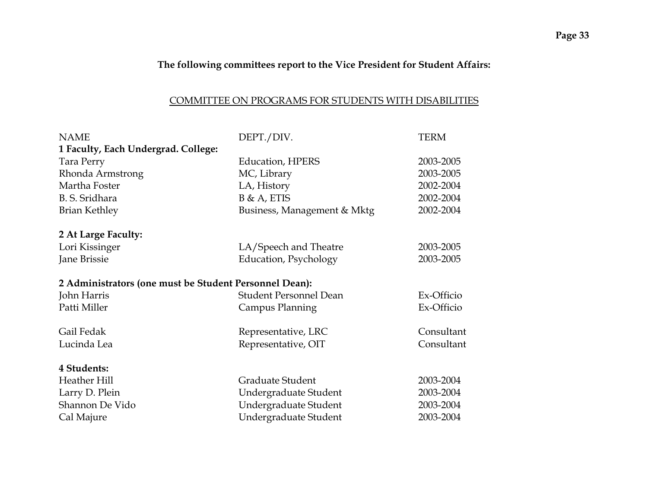# **The following committees report to the Vice President for Student Affairs:**

### COMMITTEE ON PROGRAMS FOR STUDENTS WITH DISABILITIES

| <b>NAME</b>                                            | DEPT./DIV.                    | <b>TERM</b> |
|--------------------------------------------------------|-------------------------------|-------------|
| 1 Faculty, Each Undergrad. College:                    |                               |             |
| Tara Perry                                             | <b>Education, HPERS</b>       | 2003-2005   |
| Rhonda Armstrong                                       | MC, Library                   | 2003-2005   |
| Martha Foster                                          | LA, History                   | 2002-2004   |
| B. S. Sridhara                                         | $B & A$ , ETIS                | 2002-2004   |
| <b>Brian Kethley</b>                                   | Business, Management & Mktg   | 2002-2004   |
| 2 At Large Faculty:                                    |                               |             |
| Lori Kissinger                                         | LA/Speech and Theatre         | 2003-2005   |
| Jane Brissie                                           | <b>Education</b> , Psychology | 2003-2005   |
| 2 Administrators (one must be Student Personnel Dean): |                               |             |
| John Harris                                            | <b>Student Personnel Dean</b> | Ex-Officio  |
| Patti Miller                                           | Campus Planning               | Ex-Officio  |
| Gail Fedak                                             | Representative, LRC           | Consultant  |
| Lucinda Lea                                            | Representative, OIT           | Consultant  |
| 4 Students:                                            |                               |             |
| Heather Hill                                           | Graduate Student              | 2003-2004   |
| Larry D. Plein                                         | Undergraduate Student         | 2003-2004   |
| Shannon De Vido                                        | Undergraduate Student         | 2003-2004   |
| Cal Majure                                             | Undergraduate Student         | 2003-2004   |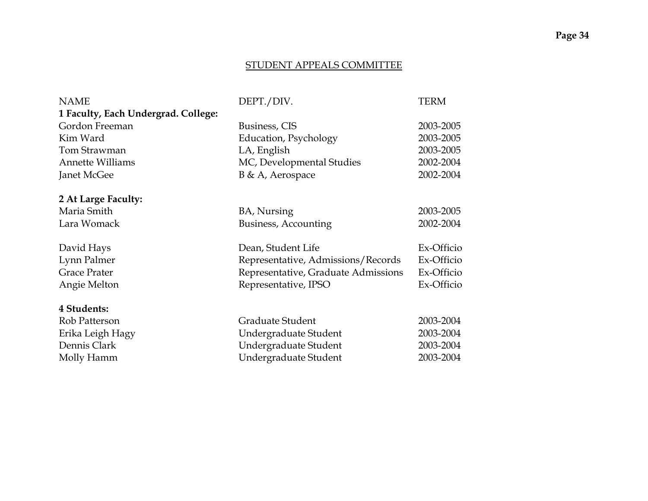### STUDENT APPEALS COMMITTEE

| <b>NAME</b>                         | DEPT./DIV.                          | <b>TERM</b> |
|-------------------------------------|-------------------------------------|-------------|
| 1 Faculty, Each Undergrad. College: |                                     |             |
| Gordon Freeman                      | Business, CIS                       | 2003-2005   |
| Kim Ward                            | Education, Psychology               | 2003-2005   |
| Tom Strawman                        | LA, English                         | 2003-2005   |
| <b>Annette Williams</b>             | MC, Developmental Studies           | 2002-2004   |
| Janet McGee                         | B & A, Aerospace                    | 2002-2004   |
|                                     |                                     |             |
| 2 At Large Faculty:                 |                                     |             |
| Maria Smith                         | BA, Nursing                         | 2003-2005   |
| Lara Womack                         | Business, Accounting                | 2002-2004   |
|                                     |                                     |             |
| David Hays                          | Dean, Student Life                  | Ex-Officio  |
| Lynn Palmer                         | Representative, Admissions/Records  | Ex-Officio  |
| <b>Grace Prater</b>                 | Representative, Graduate Admissions | Ex-Officio  |
| Angie Melton                        | Representative, IPSO                | Ex-Officio  |
| 4 Students:                         |                                     |             |
| Rob Patterson                       | Graduate Student                    | 2003-2004   |
| Erika Leigh Hagy                    | Undergraduate Student               | 2003-2004   |
| Dennis Clark                        | Undergraduate Student               | 2003-2004   |
| Molly Hamm                          | Undergraduate Student               | 2003-2004   |
|                                     |                                     |             |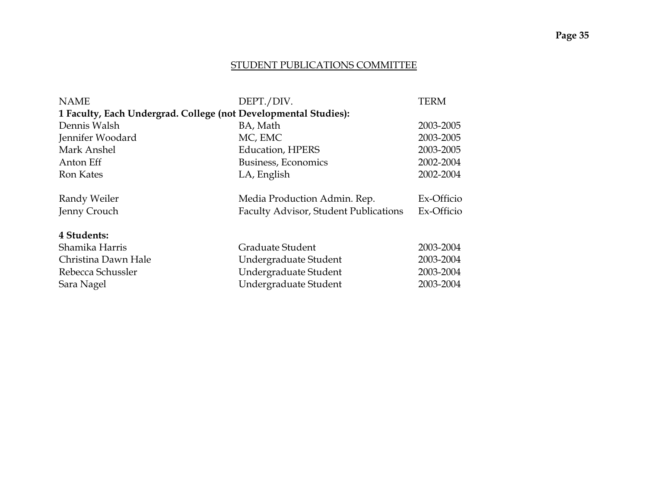#### STUDENT PUBLICATIONS COMMITTEE

| <b>NAME</b>                                                     | DEPT./DIV.                            | <b>TERM</b> |
|-----------------------------------------------------------------|---------------------------------------|-------------|
| 1 Faculty, Each Undergrad. College (not Developmental Studies): |                                       |             |
| Dennis Walsh                                                    | BA, Math                              | 2003-2005   |
| Jennifer Woodard                                                | MC, EMC                               | 2003-2005   |
| Mark Anshel                                                     | <b>Education, HPERS</b>               | 2003-2005   |
| Anton Eff                                                       | Business, Economics                   | 2002-2004   |
| <b>Ron Kates</b>                                                | LA, English                           | 2002-2004   |
|                                                                 |                                       |             |
| Randy Weiler                                                    | Media Production Admin. Rep.          | Ex-Officio  |
| Jenny Crouch                                                    | Faculty Advisor, Student Publications | Ex-Officio  |
|                                                                 |                                       |             |
| 4 Students:                                                     |                                       |             |
| Shamika Harris                                                  | Graduate Student                      | 2003-2004   |
| Christina Dawn Hale                                             | Undergraduate Student                 | 2003-2004   |
| Rebecca Schussler                                               | Undergraduate Student                 | 2003-2004   |
| Sara Nagel                                                      | Undergraduate Student                 | 2003-2004   |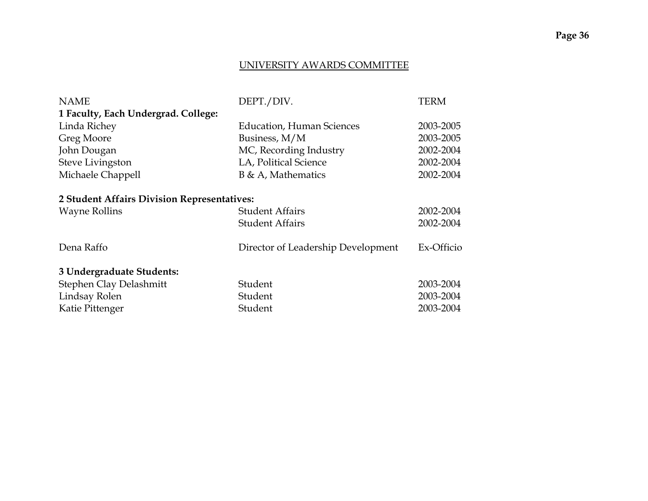### UNIVERSITY AWARDS COMMITTEE

| <b>NAME</b>                                 | DEPT./DIV.                         | <b>TERM</b> |
|---------------------------------------------|------------------------------------|-------------|
| 1 Faculty, Each Undergrad. College:         |                                    |             |
| Linda Richey                                | <b>Education, Human Sciences</b>   | 2003-2005   |
| Greg Moore                                  | Business, M/M                      | 2003-2005   |
| John Dougan                                 | MC, Recording Industry             | 2002-2004   |
| Steve Livingston                            | LA, Political Science              | 2002-2004   |
| Michaele Chappell                           | $B \& A$ , Mathematics             | 2002-2004   |
|                                             |                                    |             |
| 2 Student Affairs Division Representatives: |                                    |             |
| <b>Wayne Rollins</b>                        | <b>Student Affairs</b>             | 2002-2004   |
|                                             | <b>Student Affairs</b>             | 2002-2004   |
| Dena Raffo                                  | Director of Leadership Development | Ex-Officio  |
| 3 Undergraduate Students:                   |                                    |             |
| Stephen Clay Delashmitt                     | Student                            | 2003-2004   |
| Lindsay Rolen                               | Student                            | 2003-2004   |
| Katie Pittenger                             | Student                            | 2003-2004   |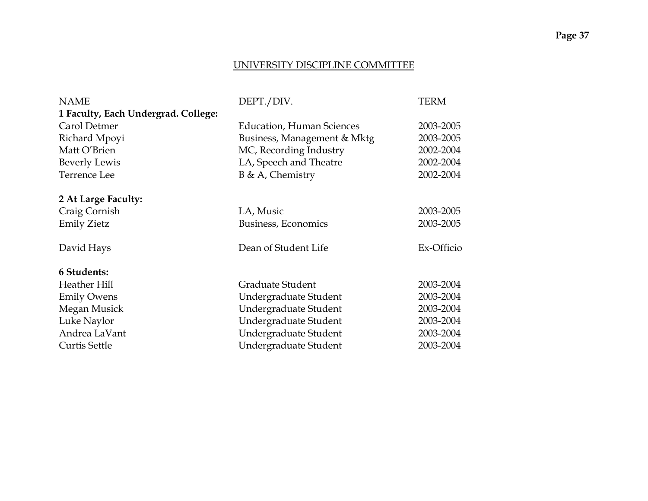# **Page 37**

#### UNIVERSITY DISCIPLINE COMMITTEE

| <b>NAME</b>                         | DEPT./DIV.                       | <b>TERM</b> |
|-------------------------------------|----------------------------------|-------------|
| 1 Faculty, Each Undergrad. College: |                                  |             |
| Carol Detmer                        | <b>Education, Human Sciences</b> | 2003-2005   |
| Richard Mpoyi                       | Business, Management & Mktg      | 2003-2005   |
| Matt O'Brien                        | MC, Recording Industry           | 2002-2004   |
| <b>Beverly Lewis</b>                | LA, Speech and Theatre           | 2002-2004   |
| <b>Terrence Lee</b>                 | $B \& A$ , Chemistry             | 2002-2004   |
|                                     |                                  |             |
| 2 At Large Faculty:                 |                                  |             |
| Craig Cornish                       | LA, Music                        | 2003-2005   |
| <b>Emily Zietz</b>                  | Business, Economics              | 2003-2005   |
|                                     |                                  |             |
| David Hays                          | Dean of Student Life             | Ex-Officio  |
|                                     |                                  |             |
| <b>6 Students:</b>                  |                                  |             |
| Heather Hill                        | Graduate Student                 | 2003-2004   |
| <b>Emily Owens</b>                  | Undergraduate Student            | 2003-2004   |
| Megan Musick                        | Undergraduate Student            | 2003-2004   |
| Luke Naylor                         | Undergraduate Student            | 2003-2004   |
| Andrea LaVant                       | Undergraduate Student            | 2003-2004   |
| <b>Curtis Settle</b>                | Undergraduate Student            | 2003-2004   |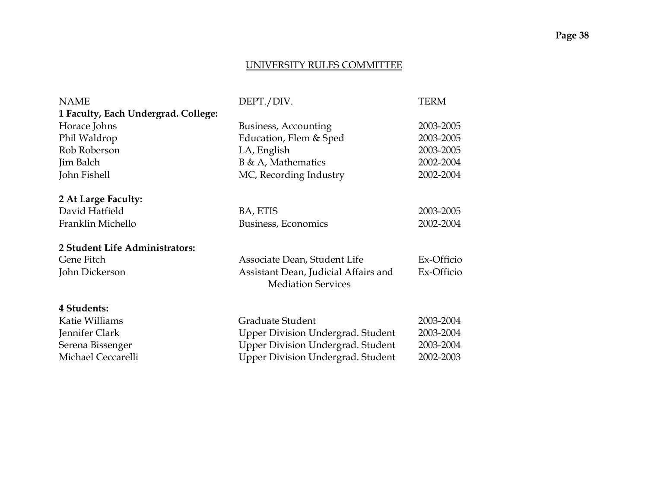### UNIVERSITY RULES COMMITTEE

| <b>NAME</b>                         | DEPT./DIV.                               | <b>TERM</b> |
|-------------------------------------|------------------------------------------|-------------|
| 1 Faculty, Each Undergrad. College: |                                          |             |
| Horace Johns                        | <b>Business, Accounting</b>              | 2003-2005   |
| Phil Waldrop                        | Education, Elem & Sped                   | 2003-2005   |
| Rob Roberson                        | LA, English                              | 2003-2005   |
| Jim Balch                           | $B \& A$ , Mathematics                   | 2002-2004   |
| John Fishell                        | MC, Recording Industry                   | 2002-2004   |
|                                     |                                          |             |
| 2 At Large Faculty:                 |                                          |             |
| David Hatfield                      | BA, ETIS                                 | 2003-2005   |
| Franklin Michello                   | Business, Economics                      | 2002-2004   |
| 2 Student Life Administrators:      |                                          |             |
| Gene Fitch                          | Associate Dean, Student Life             | Ex-Officio  |
| John Dickerson                      | Assistant Dean, Judicial Affairs and     | Ex-Officio  |
|                                     | <b>Mediation Services</b>                |             |
| 4 Students:                         |                                          |             |
| Katie Williams                      | Graduate Student                         | 2003-2004   |
| Jennifer Clark                      | Upper Division Undergrad. Student        | 2003-2004   |
| Serena Bissenger                    | Upper Division Undergrad. Student        | 2003-2004   |
| Michael Ceccarelli                  | <b>Upper Division Undergrad. Student</b> | 2002-2003   |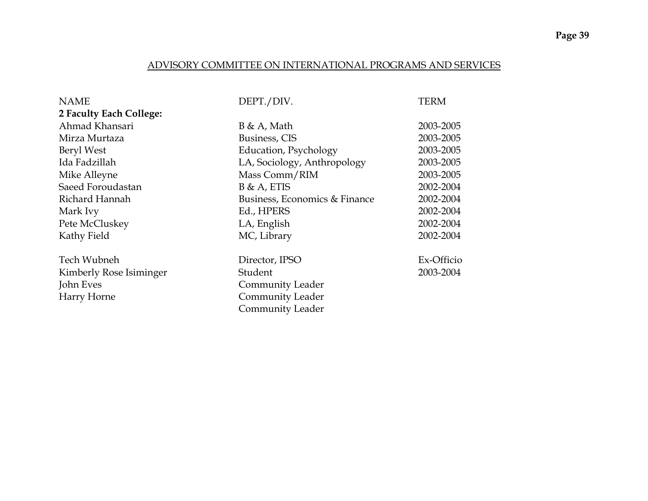#### ADVISORY COMMITTEE ON INTERNATIONAL PROGRAMS AND SERVICES

| <b>NAME</b>             | DEPT./DIV.                    | <b>TERM</b> |
|-------------------------|-------------------------------|-------------|
| 2 Faculty Each College: |                               |             |
| Ahmad Khansari          | $B \& A$ , Math               | 2003-2005   |
| Mirza Murtaza           | Business, CIS                 | 2003-2005   |
| Beryl West              | Education, Psychology         | 2003-2005   |
| Ida Fadzillah           | LA, Sociology, Anthropology   | 2003-2005   |
| Mike Alleyne            | Mass Comm/RIM                 | 2003-2005   |
| Saeed Foroudastan       | $B & A$ , ETIS                | 2002-2004   |
| Richard Hannah          | Business, Economics & Finance | 2002-2004   |
| Mark Ivy                | Ed., HPERS                    | 2002-2004   |
| Pete McCluskey          | LA, English                   | 2002-2004   |
| Kathy Field             | MC, Library                   | 2002-2004   |
| <b>Tech Wubneh</b>      | Director, IPSO                | Ex-Officio  |
| Kimberly Rose Isiminger | Student                       | 2003-2004   |
| John Eves               | <b>Community Leader</b>       |             |
| Harry Horne             | Community Leader              |             |
|                         | <b>Community Leader</b>       |             |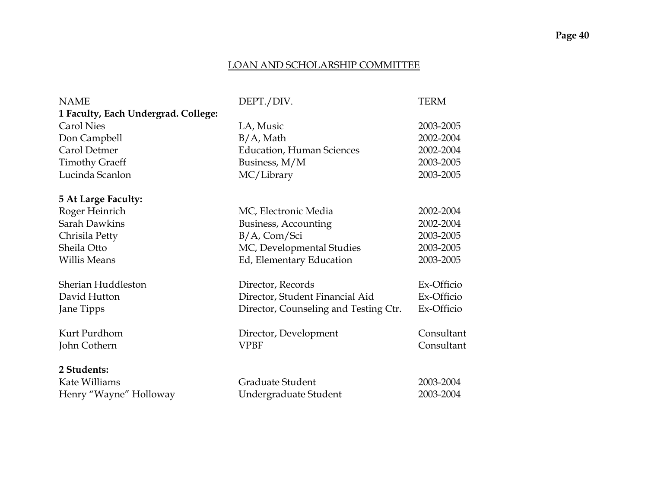# **Page 40**

### LOAN AND SCHOLARSHIP COMMITTEE

| <b>NAME</b>                         | DEPT./DIV.                            | <b>TERM</b> |
|-------------------------------------|---------------------------------------|-------------|
| 1 Faculty, Each Undergrad. College: |                                       |             |
| <b>Carol Nies</b>                   | LA, Music                             | 2003-2005   |
| Don Campbell                        | $B/A$ , Math                          | 2002-2004   |
| Carol Detmer                        | <b>Education, Human Sciences</b>      | 2002-2004   |
| <b>Timothy Graeff</b>               | Business, M/M                         | 2003-2005   |
| Lucinda Scanlon                     | MC/Library                            | 2003-2005   |
| <b>5 At Large Faculty:</b>          |                                       |             |
| Roger Heinrich                      | MC, Electronic Media                  | 2002-2004   |
| <b>Sarah Dawkins</b>                | Business, Accounting                  | 2002-2004   |
| Chrisila Petty                      | $B/A$ , Com/Sci                       | 2003-2005   |
| Sheila Otto                         | MC, Developmental Studies             | 2003-2005   |
| <b>Willis Means</b>                 | Ed, Elementary Education              | 2003-2005   |
| Sherian Huddleston                  | Director, Records                     | Ex-Officio  |
| David Hutton                        | Director, Student Financial Aid       | Ex-Officio  |
| Jane Tipps                          | Director, Counseling and Testing Ctr. | Ex-Officio  |
| Kurt Purdhom                        | Director, Development                 | Consultant  |
| John Cothern                        | <b>VPBF</b>                           | Consultant  |
| 2 Students:                         |                                       |             |
| Kate Williams                       | Graduate Student                      | 2003-2004   |
| Henry "Wayne" Holloway              | Undergraduate Student                 | 2003-2004   |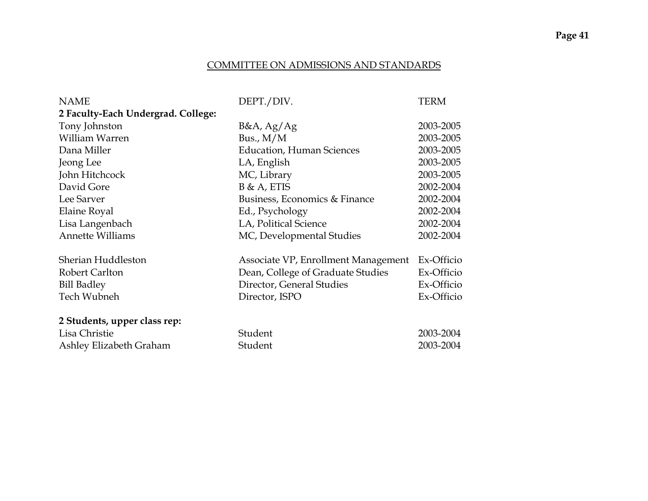### COMMITTEE ON ADMISSIONS AND STANDARDS

| <b>NAME</b>                        | DEPT./DIV.                          | <b>TERM</b> |
|------------------------------------|-------------------------------------|-------------|
| 2 Faculty-Each Undergrad. College: |                                     |             |
| Tony Johnston                      | B&A, Ag/Ag                          | 2003-2005   |
| William Warren                     | Bus., $M/M$                         | 2003-2005   |
| Dana Miller                        | <b>Education, Human Sciences</b>    | 2003-2005   |
| Jeong Lee                          | LA, English                         | 2003-2005   |
| John Hitchcock                     | MC, Library                         | 2003-2005   |
| David Gore                         | $B & A$ , ETIS                      | 2002-2004   |
| Lee Sarver                         | Business, Economics & Finance       | 2002-2004   |
| Elaine Royal                       | Ed., Psychology                     | 2002-2004   |
| Lisa Langenbach                    | LA, Political Science               | 2002-2004   |
| <b>Annette Williams</b>            | MC, Developmental Studies           | 2002-2004   |
|                                    |                                     |             |
| Sherian Huddleston                 | Associate VP, Enrollment Management | Ex-Officio  |
| Robert Carlton                     | Dean, College of Graduate Studies   | Ex-Officio  |
| <b>Bill Badley</b>                 | Director, General Studies           | Ex-Officio  |
| Tech Wubneh                        | Director, ISPO                      | Ex-Officio  |
| 2 Students, upper class rep:       |                                     |             |
| Lisa Christie                      | Student                             | 2003-2004   |
| Ashley Elizabeth Graham            | Student                             | 2003-2004   |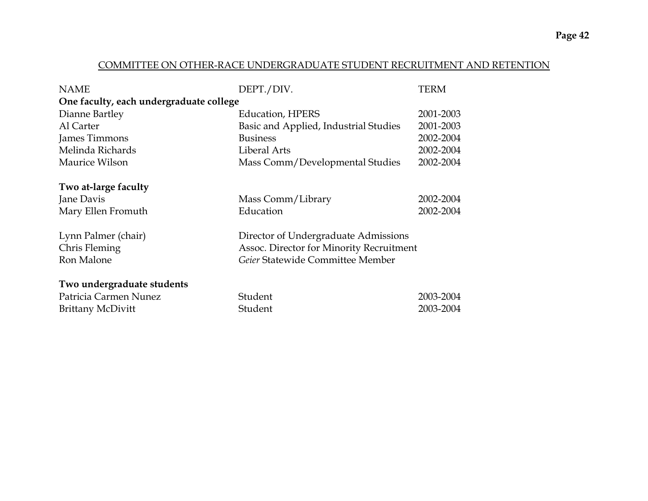#### COMMITTEE ON OTHER-RACE UNDERGRADUATE STUDENT RECRUITMENT AND RETENTION

| <b>NAME</b>                             | DEPT./DIV.                               | <b>TERM</b> |
|-----------------------------------------|------------------------------------------|-------------|
| One faculty, each undergraduate college |                                          |             |
| Dianne Bartley                          | <b>Education, HPERS</b>                  | 2001-2003   |
| Al Carter                               | Basic and Applied, Industrial Studies    | 2001-2003   |
| James Timmons                           | <b>Business</b>                          | 2002-2004   |
| Melinda Richards                        | Liberal Arts                             | 2002-2004   |
| Maurice Wilson                          | Mass Comm/Developmental Studies          | 2002-2004   |
|                                         |                                          |             |
| Two at-large faculty                    |                                          |             |
| Jane Davis                              | Mass Comm/Library                        | 2002-2004   |
| Mary Ellen Fromuth                      | Education                                | 2002-2004   |
|                                         |                                          |             |
| Lynn Palmer (chair)                     | Director of Undergraduate Admissions     |             |
| Chris Fleming                           | Assoc. Director for Minority Recruitment |             |
| Ron Malone                              | Geier Statewide Committee Member         |             |
|                                         |                                          |             |
| Two undergraduate students              |                                          |             |
| Patricia Carmen Nunez                   | Student                                  | 2003-2004   |
| <b>Brittany McDivitt</b>                | Student                                  | 2003-2004   |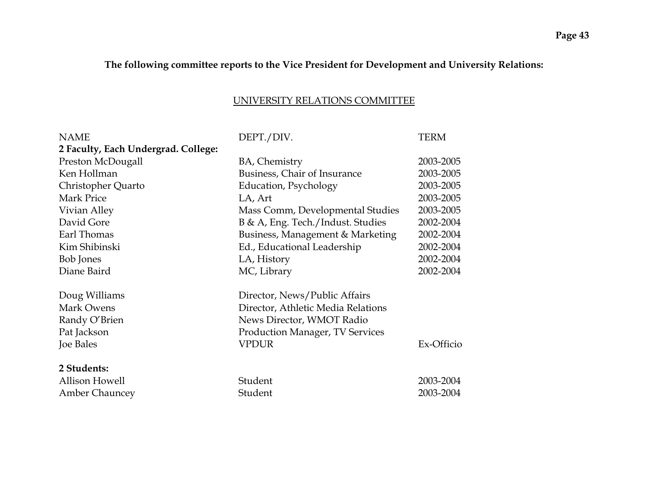# **The following committee reports to the Vice President for Development and University Relations:**

### UNIVERSITY RELATIONS COMMITTEE

| <b>NAME</b>                         | DEPT./DIV.                             | <b>TERM</b> |
|-------------------------------------|----------------------------------------|-------------|
| 2 Faculty, Each Undergrad. College: |                                        |             |
| Preston McDougall                   | BA, Chemistry                          | 2003-2005   |
| Ken Hollman                         | Business, Chair of Insurance           | 2003-2005   |
| Christopher Quarto                  | Education, Psychology                  | 2003-2005   |
| Mark Price                          | LA, Art                                | 2003-2005   |
| Vivian Alley                        | Mass Comm, Developmental Studies       | 2003-2005   |
| David Gore                          | B & A, Eng. Tech./Indust. Studies      | 2002-2004   |
| Earl Thomas                         | Business, Management & Marketing       | 2002-2004   |
| Kim Shibinski                       | Ed., Educational Leadership            | 2002-2004   |
| Bob Jones                           | LA, History                            | 2002-2004   |
| Diane Baird                         | MC, Library                            | 2002-2004   |
| Doug Williams                       | Director, News/Public Affairs          |             |
| Mark Owens                          | Director, Athletic Media Relations     |             |
| Randy O'Brien                       | News Director, WMOT Radio              |             |
| Pat Jackson                         | <b>Production Manager, TV Services</b> |             |
| Joe Bales                           | <b>VPDUR</b>                           | Ex-Officio  |
| 2 Students:                         |                                        |             |
| <b>Allison Howell</b>               | Student                                | 2003-2004   |
| <b>Amber Chauncey</b>               | Student                                | 2003-2004   |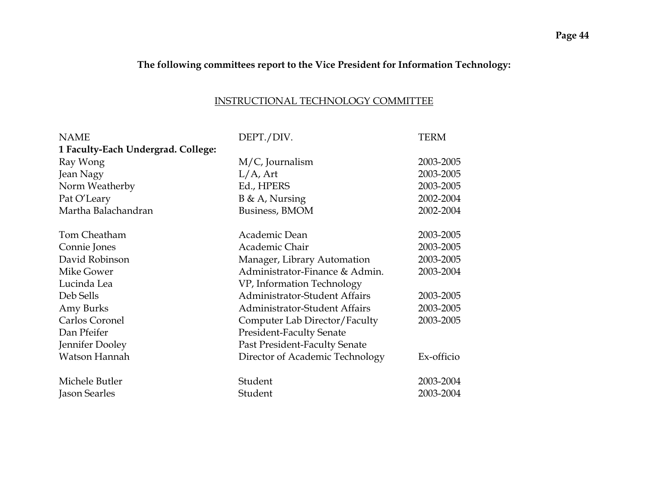# **The following committees report to the Vice President for Information Technology:**

#### INSTRUCTIONAL TECHNOLOGY COMMITTEE

| <b>NAME</b>                        | DEPT./DIV.                           | <b>TERM</b> |
|------------------------------------|--------------------------------------|-------------|
| 1 Faculty-Each Undergrad. College: |                                      |             |
| Ray Wong                           | $M/C$ , Journalism                   | 2003-2005   |
| Jean Nagy                          | $L/A$ , Art                          | 2003-2005   |
| Norm Weatherby                     | Ed., HPERS                           | 2003-2005   |
| Pat O'Leary                        | $B \& A$ , Nursing                   | 2002-2004   |
| Martha Balachandran                | Business, BMOM                       | 2002-2004   |
| Tom Cheatham                       | Academic Dean                        | 2003-2005   |
| Connie Jones                       | Academic Chair                       | 2003-2005   |
| David Robinson                     | Manager, Library Automation          | 2003-2005   |
| Mike Gower                         | Administrator-Finance & Admin.       | 2003-2004   |
| Lucinda Lea                        | VP, Information Technology           |             |
| Deb Sells                          | <b>Administrator-Student Affairs</b> | 2003-2005   |
| Amy Burks                          | Administrator-Student Affairs        | 2003-2005   |
| Carlos Coronel                     | Computer Lab Director/Faculty        | 2003-2005   |
| Dan Pfeifer                        | <b>President-Faculty Senate</b>      |             |
| Jennifer Dooley                    | Past President-Faculty Senate        |             |
| Watson Hannah                      | Director of Academic Technology      | Ex-officio  |
| Michele Butler                     | Student                              | 2003-2004   |
| Jason Searles                      | Student                              | 2003-2004   |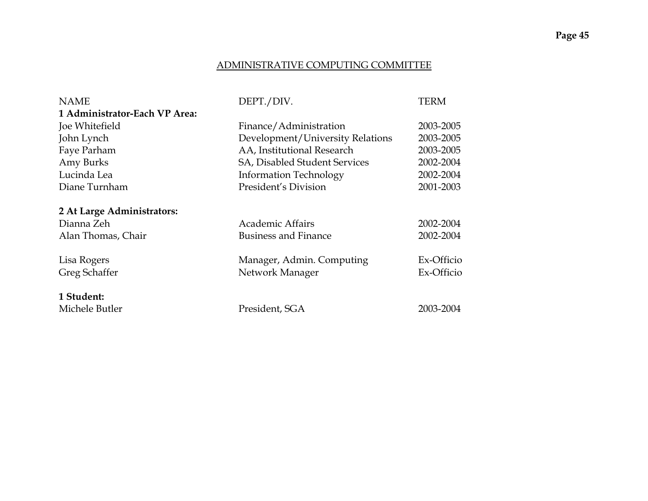# **Page 45**

#### ADMINISTRATIVE COMPUTING COMMITTEE

| <b>NAME</b>                   | DEPT./DIV.                       | <b>TERM</b> |
|-------------------------------|----------------------------------|-------------|
| 1 Administrator-Each VP Area: |                                  |             |
| Joe Whitefield                | Finance/Administration           | 2003-2005   |
| John Lynch                    | Development/University Relations | 2003-2005   |
| Faye Parham                   | AA, Institutional Research       | 2003-2005   |
| Amy Burks                     | SA, Disabled Student Services    | 2002-2004   |
| Lucinda Lea                   | <b>Information Technology</b>    | 2002-2004   |
| Diane Turnham                 | President's Division             | 2001-2003   |
| 2 At Large Administrators:    |                                  |             |
| Dianna Zeh                    | <b>Academic Affairs</b>          | 2002-2004   |
| Alan Thomas, Chair            | <b>Business and Finance</b>      | 2002-2004   |
|                               |                                  |             |
| Lisa Rogers                   | Manager, Admin. Computing        | Ex-Officio  |
| Greg Schaffer                 | Network Manager                  | Ex-Officio  |
|                               |                                  |             |
| 1 Student:                    |                                  |             |
| Michele Butler                | President, SGA                   | 2003-2004   |